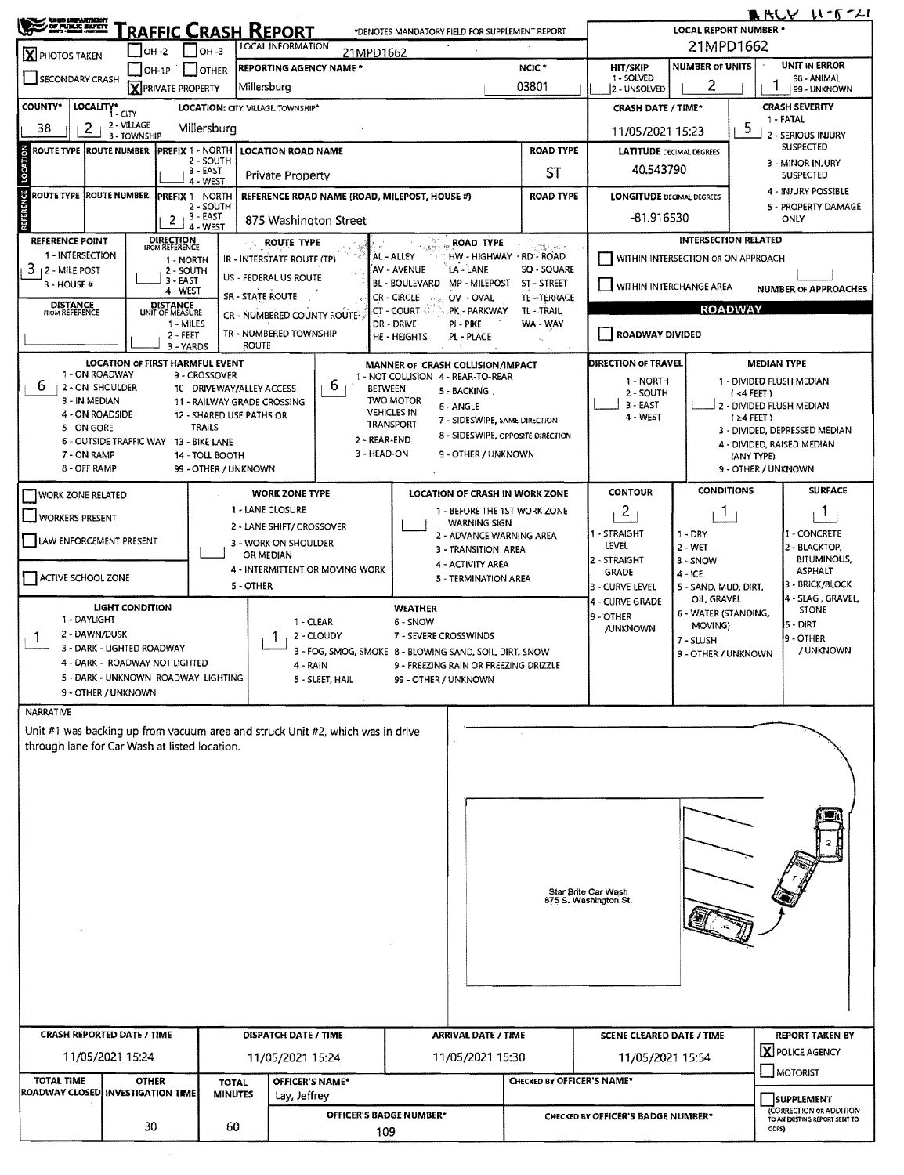|                                   | $[OH-1P]$                                                                                                                                                                                                                                                                                                                                                                                                                                                                                                                                                                                                                                                                                                                                                                                                                                                                                                                                                                                                                                                                                                                                                                                                                                                                                                                                                                                                                                                                                                                                                                                                                                                                                                                                                                                                                                                                                                                                                                                                                                                                                                                                                                                                                                                                                                                                                                                                                                                                                                                                                                                                                                                                                                                                                                                                                                                                                                                                                                                                                                                                                                                                                                                                                                                                                                                                                                                                                                                                                                                                                                                                                                                                                                                                                                                                                                                                                                                                                                                                                                                                                                                                                                                                                                                                                                                                                                                                                                                                                                                                                                                                                                                                                                                                 | <b>F</b> JOTHER      |              |  |                  | NCIC <sup>*</sup> | <b>HIT/SKIP</b> |                  | <b>UNIT IN ERROR</b>          |  |  |  |
|-----------------------------------|-------------------------------------------------------------------------------------------------------------------------------------------------------------------------------------------------------------------------------------------------------------------------------------------------------------------------------------------------------------------------------------------------------------------------------------------------------------------------------------------------------------------------------------------------------------------------------------------------------------------------------------------------------------------------------------------------------------------------------------------------------------------------------------------------------------------------------------------------------------------------------------------------------------------------------------------------------------------------------------------------------------------------------------------------------------------------------------------------------------------------------------------------------------------------------------------------------------------------------------------------------------------------------------------------------------------------------------------------------------------------------------------------------------------------------------------------------------------------------------------------------------------------------------------------------------------------------------------------------------------------------------------------------------------------------------------------------------------------------------------------------------------------------------------------------------------------------------------------------------------------------------------------------------------------------------------------------------------------------------------------------------------------------------------------------------------------------------------------------------------------------------------------------------------------------------------------------------------------------------------------------------------------------------------------------------------------------------------------------------------------------------------------------------------------------------------------------------------------------------------------------------------------------------------------------------------------------------------------------------------------------------------------------------------------------------------------------------------------------------------------------------------------------------------------------------------------------------------------------------------------------------------------------------------------------------------------------------------------------------------------------------------------------------------------------------------------------------------------------------------------------------------------------------------------------------------------------------------------------------------------------------------------------------------------------------------------------------------------------------------------------------------------------------------------------------------------------------------------------------------------------------------------------------------------------------------------------------------------------------------------------------------------------------------------------------------------------------------------------------------------------------------------------------------------------------------------------------------------------------------------------------------------------------------------------------------------------------------------------------------------------------------------------------------------------------------------------------------------------------------------------------------------------------------------------------------------------------------------------------------------------------------------------------------------------------------------------------------------------------------------------------------------------------------------------------------------------------------------------------------------------------------------------------------------------------------------------------------------------------------------------------------------------------------------------------------------------------------------------------------|----------------------|--------------|--|------------------|-------------------|-----------------|------------------|-------------------------------|--|--|--|
|                                   |                                                                                                                                                                                                                                                                                                                                                                                                                                                                                                                                                                                                                                                                                                                                                                                                                                                                                                                                                                                                                                                                                                                                                                                                                                                                                                                                                                                                                                                                                                                                                                                                                                                                                                                                                                                                                                                                                                                                                                                                                                                                                                                                                                                                                                                                                                                                                                                                                                                                                                                                                                                                                                                                                                                                                                                                                                                                                                                                                                                                                                                                                                                                                                                                                                                                                                                                                                                                                                                                                                                                                                                                                                                                                                                                                                                                                                                                                                                                                                                                                                                                                                                                                                                                                                                                                                                                                                                                                                                                                                                                                                                                                                                                                                                                           |                      |              |  |                  | 03801             | 2 - UNSOLVED    | 2                | 99 - UNKNOWN                  |  |  |  |
| <b>COUNTY*</b>                    |                                                                                                                                                                                                                                                                                                                                                                                                                                                                                                                                                                                                                                                                                                                                                                                                                                                                                                                                                                                                                                                                                                                                                                                                                                                                                                                                                                                                                                                                                                                                                                                                                                                                                                                                                                                                                                                                                                                                                                                                                                                                                                                                                                                                                                                                                                                                                                                                                                                                                                                                                                                                                                                                                                                                                                                                                                                                                                                                                                                                                                                                                                                                                                                                                                                                                                                                                                                                                                                                                                                                                                                                                                                                                                                                                                                                                                                                                                                                                                                                                                                                                                                                                                                                                                                                                                                                                                                                                                                                                                                                                                                                                                                                                                                                           |                      |              |  |                  |                   |                 |                  | <b>CRASH SEVERITY</b>         |  |  |  |
| $\overline{2}$<br>38              | 2 - VILLAGE<br>3 - TOWNSHIP                                                                                                                                                                                                                                                                                                                                                                                                                                                                                                                                                                                                                                                                                                                                                                                                                                                                                                                                                                                                                                                                                                                                                                                                                                                                                                                                                                                                                                                                                                                                                                                                                                                                                                                                                                                                                                                                                                                                                                                                                                                                                                                                                                                                                                                                                                                                                                                                                                                                                                                                                                                                                                                                                                                                                                                                                                                                                                                                                                                                                                                                                                                                                                                                                                                                                                                                                                                                                                                                                                                                                                                                                                                                                                                                                                                                                                                                                                                                                                                                                                                                                                                                                                                                                                                                                                                                                                                                                                                                                                                                                                                                                                                                                                               |                      |              |  |                  |                   |                 |                  | ь<br>2 - SERIOUS INJURY       |  |  |  |
|                                   |                                                                                                                                                                                                                                                                                                                                                                                                                                                                                                                                                                                                                                                                                                                                                                                                                                                                                                                                                                                                                                                                                                                                                                                                                                                                                                                                                                                                                                                                                                                                                                                                                                                                                                                                                                                                                                                                                                                                                                                                                                                                                                                                                                                                                                                                                                                                                                                                                                                                                                                                                                                                                                                                                                                                                                                                                                                                                                                                                                                                                                                                                                                                                                                                                                                                                                                                                                                                                                                                                                                                                                                                                                                                                                                                                                                                                                                                                                                                                                                                                                                                                                                                                                                                                                                                                                                                                                                                                                                                                                                                                                                                                                                                                                                                           |                      |              |  |                  | <b>ROAD TYPE</b>  |                 | <b>SUSPECTED</b> |                               |  |  |  |
| LOCATION                          |                                                                                                                                                                                                                                                                                                                                                                                                                                                                                                                                                                                                                                                                                                                                                                                                                                                                                                                                                                                                                                                                                                                                                                                                                                                                                                                                                                                                                                                                                                                                                                                                                                                                                                                                                                                                                                                                                                                                                                                                                                                                                                                                                                                                                                                                                                                                                                                                                                                                                                                                                                                                                                                                                                                                                                                                                                                                                                                                                                                                                                                                                                                                                                                                                                                                                                                                                                                                                                                                                                                                                                                                                                                                                                                                                                                                                                                                                                                                                                                                                                                                                                                                                                                                                                                                                                                                                                                                                                                                                                                                                                                                                                                                                                                                           | 3 - EAST<br>4 - WEST |              |  |                  | <b>ST</b>         |                 |                  | SUSPECTED                     |  |  |  |
|                                   |                                                                                                                                                                                                                                                                                                                                                                                                                                                                                                                                                                                                                                                                                                                                                                                                                                                                                                                                                                                                                                                                                                                                                                                                                                                                                                                                                                                                                                                                                                                                                                                                                                                                                                                                                                                                                                                                                                                                                                                                                                                                                                                                                                                                                                                                                                                                                                                                                                                                                                                                                                                                                                                                                                                                                                                                                                                                                                                                                                                                                                                                                                                                                                                                                                                                                                                                                                                                                                                                                                                                                                                                                                                                                                                                                                                                                                                                                                                                                                                                                                                                                                                                                                                                                                                                                                                                                                                                                                                                                                                                                                                                                                                                                                                                           |                      |              |  |                  | <b>ROAD TYPE</b>  |                 |                  | 4 - INJURY POSSIBLE           |  |  |  |
| <b>REFERENCE</b>                  |                                                                                                                                                                                                                                                                                                                                                                                                                                                                                                                                                                                                                                                                                                                                                                                                                                                                                                                                                                                                                                                                                                                                                                                                                                                                                                                                                                                                                                                                                                                                                                                                                                                                                                                                                                                                                                                                                                                                                                                                                                                                                                                                                                                                                                                                                                                                                                                                                                                                                                                                                                                                                                                                                                                                                                                                                                                                                                                                                                                                                                                                                                                                                                                                                                                                                                                                                                                                                                                                                                                                                                                                                                                                                                                                                                                                                                                                                                                                                                                                                                                                                                                                                                                                                                                                                                                                                                                                                                                                                                                                                                                                                                                                                                                                           |                      |              |  |                  |                   |                 | ONLY             |                               |  |  |  |
|                                   |                                                                                                                                                                                                                                                                                                                                                                                                                                                                                                                                                                                                                                                                                                                                                                                                                                                                                                                                                                                                                                                                                                                                                                                                                                                                                                                                                                                                                                                                                                                                                                                                                                                                                                                                                                                                                                                                                                                                                                                                                                                                                                                                                                                                                                                                                                                                                                                                                                                                                                                                                                                                                                                                                                                                                                                                                                                                                                                                                                                                                                                                                                                                                                                                                                                                                                                                                                                                                                                                                                                                                                                                                                                                                                                                                                                                                                                                                                                                                                                                                                                                                                                                                                                                                                                                                                                                                                                                                                                                                                                                                                                                                                                                                                                                           |                      |              |  | <b>ROAD TYPE</b> |                   |                 |                  |                               |  |  |  |
|                                   |                                                                                                                                                                                                                                                                                                                                                                                                                                                                                                                                                                                                                                                                                                                                                                                                                                                                                                                                                                                                                                                                                                                                                                                                                                                                                                                                                                                                                                                                                                                                                                                                                                                                                                                                                                                                                                                                                                                                                                                                                                                                                                                                                                                                                                                                                                                                                                                                                                                                                                                                                                                                                                                                                                                                                                                                                                                                                                                                                                                                                                                                                                                                                                                                                                                                                                                                                                                                                                                                                                                                                                                                                                                                                                                                                                                                                                                                                                                                                                                                                                                                                                                                                                                                                                                                                                                                                                                                                                                                                                                                                                                                                                                                                                                                           |                      |              |  |                  |                   |                 |                  |                               |  |  |  |
| 3 - HOUSE #                       |                                                                                                                                                                                                                                                                                                                                                                                                                                                                                                                                                                                                                                                                                                                                                                                                                                                                                                                                                                                                                                                                                                                                                                                                                                                                                                                                                                                                                                                                                                                                                                                                                                                                                                                                                                                                                                                                                                                                                                                                                                                                                                                                                                                                                                                                                                                                                                                                                                                                                                                                                                                                                                                                                                                                                                                                                                                                                                                                                                                                                                                                                                                                                                                                                                                                                                                                                                                                                                                                                                                                                                                                                                                                                                                                                                                                                                                                                                                                                                                                                                                                                                                                                                                                                                                                                                                                                                                                                                                                                                                                                                                                                                                                                                                                           |                      |              |  |                  | ST - STREET       |                 |                  | <b>NUMBER OF APPROACHES</b>   |  |  |  |
| <b>DISTANCE</b><br>FROM REFERENCE |                                                                                                                                                                                                                                                                                                                                                                                                                                                                                                                                                                                                                                                                                                                                                                                                                                                                                                                                                                                                                                                                                                                                                                                                                                                                                                                                                                                                                                                                                                                                                                                                                                                                                                                                                                                                                                                                                                                                                                                                                                                                                                                                                                                                                                                                                                                                                                                                                                                                                                                                                                                                                                                                                                                                                                                                                                                                                                                                                                                                                                                                                                                                                                                                                                                                                                                                                                                                                                                                                                                                                                                                                                                                                                                                                                                                                                                                                                                                                                                                                                                                                                                                                                                                                                                                                                                                                                                                                                                                                                                                                                                                                                                                                                                                           |                      |              |  | in the           | TL TRAIL          |                 |                  |                               |  |  |  |
|                                   |                                                                                                                                                                                                                                                                                                                                                                                                                                                                                                                                                                                                                                                                                                                                                                                                                                                                                                                                                                                                                                                                                                                                                                                                                                                                                                                                                                                                                                                                                                                                                                                                                                                                                                                                                                                                                                                                                                                                                                                                                                                                                                                                                                                                                                                                                                                                                                                                                                                                                                                                                                                                                                                                                                                                                                                                                                                                                                                                                                                                                                                                                                                                                                                                                                                                                                                                                                                                                                                                                                                                                                                                                                                                                                                                                                                                                                                                                                                                                                                                                                                                                                                                                                                                                                                                                                                                                                                                                                                                                                                                                                                                                                                                                                                                           |                      |              |  | PI - PIKE        | WA - WAY          |                 |                  |                               |  |  |  |
|                                   |                                                                                                                                                                                                                                                                                                                                                                                                                                                                                                                                                                                                                                                                                                                                                                                                                                                                                                                                                                                                                                                                                                                                                                                                                                                                                                                                                                                                                                                                                                                                                                                                                                                                                                                                                                                                                                                                                                                                                                                                                                                                                                                                                                                                                                                                                                                                                                                                                                                                                                                                                                                                                                                                                                                                                                                                                                                                                                                                                                                                                                                                                                                                                                                                                                                                                                                                                                                                                                                                                                                                                                                                                                                                                                                                                                                                                                                                                                                                                                                                                                                                                                                                                                                                                                                                                                                                                                                                                                                                                                                                                                                                                                                                                                                                           |                      | <b>ROUTE</b> |  |                  |                   |                 |                  |                               |  |  |  |
|                                   |                                                                                                                                                                                                                                                                                                                                                                                                                                                                                                                                                                                                                                                                                                                                                                                                                                                                                                                                                                                                                                                                                                                                                                                                                                                                                                                                                                                                                                                                                                                                                                                                                                                                                                                                                                                                                                                                                                                                                                                                                                                                                                                                                                                                                                                                                                                                                                                                                                                                                                                                                                                                                                                                                                                                                                                                                                                                                                                                                                                                                                                                                                                                                                                                                                                                                                                                                                                                                                                                                                                                                                                                                                                                                                                                                                                                                                                                                                                                                                                                                                                                                                                                                                                                                                                                                                                                                                                                                                                                                                                                                                                                                                                                                                                                           |                      |              |  |                  |                   |                 |                  | <b>MEDIAN TYPE</b>            |  |  |  |
| 6                                 | <b>ARCY W-6-41</b><br><b>CHIC LETARTHERY</b><br><u>RAFFIC CRASH REPORT</u><br><b>LOCAL REPORT NUMBER *</b><br>*DENOTES MANDATORY FIELD FOR SUPPLEMENT REPORT<br>21MPD1662<br><b>LOCAL INFORMATION</b><br>IOH -2<br>$ OH - 3 $<br>21MPD1662<br><b>NUMBER OF UNITS</b><br><b>REPORTING AGENCY NAME *</b><br>1 - SOLVED<br>98 - ANIMAL<br><b>X</b> PRIVATE PROPERTY<br>Millersburg<br>LOCALITY* CITY<br>LOCATION: CITY. VILLAGE. TOWNSHIP*<br><b>CRASH DATE / TIME*</b><br>1 - FATAL<br>Millersburg<br>11/05/2021 15:23<br><b>LOCATION ROAD NAME</b><br><b>LATITUDE DECIMAL DEGREES</b><br>2 - SOUTH<br>3 - MINOR INJURY<br>40,543790<br><b>Private Property</b><br>PREFIX 1 - NORTH<br><b>REFERENCE ROAD NAME (ROAD, MILEPOST, HOUSE #)</b><br><b>LONGITUDE DECIMAL DEGREES</b><br>2 - SOUTH<br>5 - PROPERTY DAMAGE<br>$+3 - EAST$<br>-81.916530<br>$\mathbf{2}$<br>875 Washington Street<br>4 - WEST<br><b>INTERSECTION RELATED</b><br><b>DIRECTION</b><br>FROM REFERENCE<br>$\stackrel{\mathcal{M}_2}{\longrightarrow} \stackrel{\mathcal{M}_2}{\longrightarrow} \stackrel{\mathcal{M}_2}{\longrightarrow} \stackrel{\mathcal{M}_2}{\longrightarrow} \stackrel{\mathcal{M}_1}{\longrightarrow}$<br><b>ROUTE TYPE</b><br>1 - INTERSECTION<br>AL - ALLEY<br>HW - HIGHWAY - RD - ROAD<br>WITHIN INTERSECTION OR ON APPROACH<br>IR - INTERSTATE ROUTE (TP)<br>1 - NORTH<br>LA - LANE<br>SQ - SQUARE<br>AV - AVENUE<br>2 - SOUTH<br>US - FEDERAL US ROUTE<br>3 - EAST<br><b>BL - BOULEVARD</b><br><b>MP - MILEPOST</b><br>WITHIN INTERCHANGE AREA<br>4 - WEST<br>SR - STATE ROUTE<br>CR - CIRCLE<br>TE-TERRACE<br>OV - OVAL<br>DISTANCE<br>UNIT OF MEASURE<br><b>ROADWAY</b><br>$CT$ - Court $\mathbb{Q}$<br>PK - PARKWAY<br>CR - NUMBERED COUNTY ROUTE-<br>1 - MILES<br>DR - DRIVE<br>TR - NUMBERED TOWNSHIP<br>ROADWAY DIVIDED<br>2 - FEET<br><b>HE - HEIGHTS</b><br>PL - PLACE<br>3 - YARDS<br><b>LOCATION OF FIRST HARMFUL EVENT</b><br>DIRECTION OF TRAVEL<br>MANNER OF CRASH COLLISION/IMPACT<br>1 - ON ROADWAY<br>9 - CROSSOVER<br>1 - NOT COLLISION 4 - REAR-TO-REAR<br>1 - NORTH<br>1 - DIVIDED FLUSH MEDIAN<br>6<br>12 - ON SHOULDER<br>10 - DRIVEWAY/ALLEY ACCESS<br>BETWEEN<br>5 - BACKING.<br>2 - SOUTH<br>$(4$ FEET)<br>3 - IN MEDIAN<br><b>TWO MOTOR</b><br>11 - RAILWAY GRADE CROSSING<br>$3 - EAST$<br>2 - DIVIDED FLUSH MEDIAN<br>6 - ANGLE<br><b>VEHICLES IN</b><br>4 - ON ROADSIDE<br>12 - SHARED USE PATHS OR<br>4 - WEST<br>$(24$ FEET)<br>7 - SIDESWIPE, SAME DIRECTION<br><b>TRANSPORT</b><br>TRAILS<br>5 - ON GORE<br>3 - DIVIDED, DEPRESSED MEDIAN<br>8 - SIDESWIPE, OPPOSITE DIRECTION<br>2 - REAR-END<br>6 - OUTSIDE TRAFFIC WAY 13 - BIKE LANE<br>4 - DIVIDED, RAISED MEDIAN<br>3 - HEAD-ON<br>9 - OTHER / UNKNOWN<br>7 - ON RAMP<br>14 - TOLL BOOTH<br>(ANY TYPE)<br>8 - OFF RAMP<br>99 - OTHER / UNKNOWN<br>9 - OTHER / UNKNOWN<br><b>CONDITIONS</b><br><b>SURFACE</b><br><b>CONTOUR</b><br><b>WORK ZONE TYPE</b><br>LOCATION OF CRASH IN WORK ZONE<br>1 - LANE CLOSURE<br>$\overline{2}$<br>1 - BEFORE THE 1ST WORK ZONE<br>L.<br>Т.<br><b>WARNING SIGN</b><br>2 - LANE SHIFT/ CROSSOVER<br>1 - STRAIGHT<br>$1 - DRY$<br>1 - CONCRETE<br>2 - ADVANCE WARNING AREA<br>3 - WORK ON SHOULDER<br>LEVEL<br>2 - WET<br>2 - BLACKTOP,<br>3 - TRANSITION AREA<br>OR MEDIAN<br><b>BITUMINOUS,</b><br>2 - STRAIGHT<br>3 - SNOW<br>4 - ACTIVITY AREA<br>4 - INTERMITTENT OR MOVING WORK<br><b>ASPHALT</b><br><b>GRADE</b><br>$4 - ICE$<br>5 - TERMINATION AREA<br>3 - BRICK/BLOCK<br>5 - OTHER<br>3 - CURVE LEVEL<br>5 - SAND, MUD, DIRT,<br>4 - SLAG, GRAVEL,<br>OIL GRAVEL<br>4 - CURVE GRADE<br><b>LIGHT CONDITION</b><br><b>WEATHER</b><br><b>STONE</b><br>6 - WATER (STANDING,<br>9 - OTHER<br>1 - DAYLIGHT<br>6 - SNOW<br>1 - CLEAR<br>5 - DIRT<br>MOVING)<br><b>JUNKNOWN</b><br>2 - DAWN/DUSK<br>2 - CLOUDY<br>7 - SEVERE CROSSWINDS<br>9 - OTHER<br>7 - SLUSH<br>3 - DARK - LIGHTED ROADWAY<br>/ UNKNOWN<br>3 - FOG, SMOG, SMOKE 8 - BLOWING SAND, SOIL, DIRT, SNOW<br>9 - OTHER / UNKNOWN<br>4 - DARK - ROADWAY NOT LIGHTED<br>4 - RAIN<br>9 - FREEZING RAIN OR FREEZING DRIZZLE<br>5 - DARK - UNKNOWN ROADWAY LIGHTING<br>5 - SLEET, HAIL<br>99 - OTHER / UNKNOWN<br>9 - OTHER / UNKNOWN<br>Star Brite Car Wash<br>875 S. Washington St.<br><b>ARRIVAL DATE / TIME</b><br>DISPATCH DATE / TIME<br><b>SCENE CLEARED DATE / TIME</b><br><b>REPORT TAKEN BY</b><br>X POLICE AGENCY<br>11/05/2021 15:24<br>11/05/2021 15:30<br>11/05/2021 15:24<br>11/05/2021 15:54<br>MOTORIST<br>CHECKED BY OFFICER'S NAME*<br><b>OTHER</b><br>OFFICER'S NAME*<br><b>TOTAL</b><br><b>MINUTES</b><br>Lay, Jeffrey<br><b>SUPPLEMENT</b><br>(CORRECTION OR ADDITION<br>OFFICER'S BADGE NUMBER*<br>CHECKED BY OFFICER'S BADGE NUMBER* |                      |              |  |                  |                   |                 |                  |                               |  |  |  |
|                                   | X PHOTOS TAKEN<br><b>CRASH REPORTED DATE / TIME</b>                                                                                                                                                                                                                                                                                                                                                                                                                                                                                                                                                                                                                                                                                                                                                                                                                                                                                                                                                                                                                                                                                                                                                                                                                                                                                                                                                                                                                                                                                                                                                                                                                                                                                                                                                                                                                                                                                                                                                                                                                                                                                                                                                                                                                                                                                                                                                                                                                                                                                                                                                                                                                                                                                                                                                                                                                                                                                                                                                                                                                                                                                                                                                                                                                                                                                                                                                                                                                                                                                                                                                                                                                                                                                                                                                                                                                                                                                                                                                                                                                                                                                                                                                                                                                                                                                                                                                                                                                                                                                                                                                                                                                                                                                       |                      |              |  |                  |                   |                 |                  |                               |  |  |  |
|                                   |                                                                                                                                                                                                                                                                                                                                                                                                                                                                                                                                                                                                                                                                                                                                                                                                                                                                                                                                                                                                                                                                                                                                                                                                                                                                                                                                                                                                                                                                                                                                                                                                                                                                                                                                                                                                                                                                                                                                                                                                                                                                                                                                                                                                                                                                                                                                                                                                                                                                                                                                                                                                                                                                                                                                                                                                                                                                                                                                                                                                                                                                                                                                                                                                                                                                                                                                                                                                                                                                                                                                                                                                                                                                                                                                                                                                                                                                                                                                                                                                                                                                                                                                                                                                                                                                                                                                                                                                                                                                                                                                                                                                                                                                                                                                           |                      |              |  |                  |                   |                 |                  |                               |  |  |  |
|                                   |                                                                                                                                                                                                                                                                                                                                                                                                                                                                                                                                                                                                                                                                                                                                                                                                                                                                                                                                                                                                                                                                                                                                                                                                                                                                                                                                                                                                                                                                                                                                                                                                                                                                                                                                                                                                                                                                                                                                                                                                                                                                                                                                                                                                                                                                                                                                                                                                                                                                                                                                                                                                                                                                                                                                                                                                                                                                                                                                                                                                                                                                                                                                                                                                                                                                                                                                                                                                                                                                                                                                                                                                                                                                                                                                                                                                                                                                                                                                                                                                                                                                                                                                                                                                                                                                                                                                                                                                                                                                                                                                                                                                                                                                                                                                           |                      |              |  |                  |                   |                 |                  |                               |  |  |  |
|                                   |                                                                                                                                                                                                                                                                                                                                                                                                                                                                                                                                                                                                                                                                                                                                                                                                                                                                                                                                                                                                                                                                                                                                                                                                                                                                                                                                                                                                                                                                                                                                                                                                                                                                                                                                                                                                                                                                                                                                                                                                                                                                                                                                                                                                                                                                                                                                                                                                                                                                                                                                                                                                                                                                                                                                                                                                                                                                                                                                                                                                                                                                                                                                                                                                                                                                                                                                                                                                                                                                                                                                                                                                                                                                                                                                                                                                                                                                                                                                                                                                                                                                                                                                                                                                                                                                                                                                                                                                                                                                                                                                                                                                                                                                                                                                           |                      |              |  |                  |                   |                 |                  |                               |  |  |  |
|                                   |                                                                                                                                                                                                                                                                                                                                                                                                                                                                                                                                                                                                                                                                                                                                                                                                                                                                                                                                                                                                                                                                                                                                                                                                                                                                                                                                                                                                                                                                                                                                                                                                                                                                                                                                                                                                                                                                                                                                                                                                                                                                                                                                                                                                                                                                                                                                                                                                                                                                                                                                                                                                                                                                                                                                                                                                                                                                                                                                                                                                                                                                                                                                                                                                                                                                                                                                                                                                                                                                                                                                                                                                                                                                                                                                                                                                                                                                                                                                                                                                                                                                                                                                                                                                                                                                                                                                                                                                                                                                                                                                                                                                                                                                                                                                           |                      |              |  |                  |                   |                 |                  |                               |  |  |  |
|                                   |                                                                                                                                                                                                                                                                                                                                                                                                                                                                                                                                                                                                                                                                                                                                                                                                                                                                                                                                                                                                                                                                                                                                                                                                                                                                                                                                                                                                                                                                                                                                                                                                                                                                                                                                                                                                                                                                                                                                                                                                                                                                                                                                                                                                                                                                                                                                                                                                                                                                                                                                                                                                                                                                                                                                                                                                                                                                                                                                                                                                                                                                                                                                                                                                                                                                                                                                                                                                                                                                                                                                                                                                                                                                                                                                                                                                                                                                                                                                                                                                                                                                                                                                                                                                                                                                                                                                                                                                                                                                                                                                                                                                                                                                                                                                           |                      |              |  |                  |                   |                 |                  |                               |  |  |  |
|                                   |                                                                                                                                                                                                                                                                                                                                                                                                                                                                                                                                                                                                                                                                                                                                                                                                                                                                                                                                                                                                                                                                                                                                                                                                                                                                                                                                                                                                                                                                                                                                                                                                                                                                                                                                                                                                                                                                                                                                                                                                                                                                                                                                                                                                                                                                                                                                                                                                                                                                                                                                                                                                                                                                                                                                                                                                                                                                                                                                                                                                                                                                                                                                                                                                                                                                                                                                                                                                                                                                                                                                                                                                                                                                                                                                                                                                                                                                                                                                                                                                                                                                                                                                                                                                                                                                                                                                                                                                                                                                                                                                                                                                                                                                                                                                           |                      |              |  |                  |                   |                 |                  |                               |  |  |  |
|                                   |                                                                                                                                                                                                                                                                                                                                                                                                                                                                                                                                                                                                                                                                                                                                                                                                                                                                                                                                                                                                                                                                                                                                                                                                                                                                                                                                                                                                                                                                                                                                                                                                                                                                                                                                                                                                                                                                                                                                                                                                                                                                                                                                                                                                                                                                                                                                                                                                                                                                                                                                                                                                                                                                                                                                                                                                                                                                                                                                                                                                                                                                                                                                                                                                                                                                                                                                                                                                                                                                                                                                                                                                                                                                                                                                                                                                                                                                                                                                                                                                                                                                                                                                                                                                                                                                                                                                                                                                                                                                                                                                                                                                                                                                                                                                           |                      |              |  |                  |                   |                 |                  |                               |  |  |  |
|                                   |                                                                                                                                                                                                                                                                                                                                                                                                                                                                                                                                                                                                                                                                                                                                                                                                                                                                                                                                                                                                                                                                                                                                                                                                                                                                                                                                                                                                                                                                                                                                                                                                                                                                                                                                                                                                                                                                                                                                                                                                                                                                                                                                                                                                                                                                                                                                                                                                                                                                                                                                                                                                                                                                                                                                                                                                                                                                                                                                                                                                                                                                                                                                                                                                                                                                                                                                                                                                                                                                                                                                                                                                                                                                                                                                                                                                                                                                                                                                                                                                                                                                                                                                                                                                                                                                                                                                                                                                                                                                                                                                                                                                                                                                                                                                           |                      |              |  |                  |                   |                 |                  |                               |  |  |  |
|                                   |                                                                                                                                                                                                                                                                                                                                                                                                                                                                                                                                                                                                                                                                                                                                                                                                                                                                                                                                                                                                                                                                                                                                                                                                                                                                                                                                                                                                                                                                                                                                                                                                                                                                                                                                                                                                                                                                                                                                                                                                                                                                                                                                                                                                                                                                                                                                                                                                                                                                                                                                                                                                                                                                                                                                                                                                                                                                                                                                                                                                                                                                                                                                                                                                                                                                                                                                                                                                                                                                                                                                                                                                                                                                                                                                                                                                                                                                                                                                                                                                                                                                                                                                                                                                                                                                                                                                                                                                                                                                                                                                                                                                                                                                                                                                           |                      |              |  |                  |                   |                 |                  |                               |  |  |  |
|                                   |                                                                                                                                                                                                                                                                                                                                                                                                                                                                                                                                                                                                                                                                                                                                                                                                                                                                                                                                                                                                                                                                                                                                                                                                                                                                                                                                                                                                                                                                                                                                                                                                                                                                                                                                                                                                                                                                                                                                                                                                                                                                                                                                                                                                                                                                                                                                                                                                                                                                                                                                                                                                                                                                                                                                                                                                                                                                                                                                                                                                                                                                                                                                                                                                                                                                                                                                                                                                                                                                                                                                                                                                                                                                                                                                                                                                                                                                                                                                                                                                                                                                                                                                                                                                                                                                                                                                                                                                                                                                                                                                                                                                                                                                                                                                           |                      |              |  |                  |                   |                 |                  |                               |  |  |  |
|                                   |                                                                                                                                                                                                                                                                                                                                                                                                                                                                                                                                                                                                                                                                                                                                                                                                                                                                                                                                                                                                                                                                                                                                                                                                                                                                                                                                                                                                                                                                                                                                                                                                                                                                                                                                                                                                                                                                                                                                                                                                                                                                                                                                                                                                                                                                                                                                                                                                                                                                                                                                                                                                                                                                                                                                                                                                                                                                                                                                                                                                                                                                                                                                                                                                                                                                                                                                                                                                                                                                                                                                                                                                                                                                                                                                                                                                                                                                                                                                                                                                                                                                                                                                                                                                                                                                                                                                                                                                                                                                                                                                                                                                                                                                                                                                           |                      |              |  |                  |                   |                 |                  |                               |  |  |  |
|                                   |                                                                                                                                                                                                                                                                                                                                                                                                                                                                                                                                                                                                                                                                                                                                                                                                                                                                                                                                                                                                                                                                                                                                                                                                                                                                                                                                                                                                                                                                                                                                                                                                                                                                                                                                                                                                                                                                                                                                                                                                                                                                                                                                                                                                                                                                                                                                                                                                                                                                                                                                                                                                                                                                                                                                                                                                                                                                                                                                                                                                                                                                                                                                                                                                                                                                                                                                                                                                                                                                                                                                                                                                                                                                                                                                                                                                                                                                                                                                                                                                                                                                                                                                                                                                                                                                                                                                                                                                                                                                                                                                                                                                                                                                                                                                           |                      |              |  |                  |                   |                 |                  |                               |  |  |  |
|                                   |                                                                                                                                                                                                                                                                                                                                                                                                                                                                                                                                                                                                                                                                                                                                                                                                                                                                                                                                                                                                                                                                                                                                                                                                                                                                                                                                                                                                                                                                                                                                                                                                                                                                                                                                                                                                                                                                                                                                                                                                                                                                                                                                                                                                                                                                                                                                                                                                                                                                                                                                                                                                                                                                                                                                                                                                                                                                                                                                                                                                                                                                                                                                                                                                                                                                                                                                                                                                                                                                                                                                                                                                                                                                                                                                                                                                                                                                                                                                                                                                                                                                                                                                                                                                                                                                                                                                                                                                                                                                                                                                                                                                                                                                                                                                           |                      |              |  |                  |                   |                 |                  |                               |  |  |  |
|                                   |                                                                                                                                                                                                                                                                                                                                                                                                                                                                                                                                                                                                                                                                                                                                                                                                                                                                                                                                                                                                                                                                                                                                                                                                                                                                                                                                                                                                                                                                                                                                                                                                                                                                                                                                                                                                                                                                                                                                                                                                                                                                                                                                                                                                                                                                                                                                                                                                                                                                                                                                                                                                                                                                                                                                                                                                                                                                                                                                                                                                                                                                                                                                                                                                                                                                                                                                                                                                                                                                                                                                                                                                                                                                                                                                                                                                                                                                                                                                                                                                                                                                                                                                                                                                                                                                                                                                                                                                                                                                                                                                                                                                                                                                                                                                           |                      |              |  |                  |                   |                 |                  |                               |  |  |  |
|                                   |                                                                                                                                                                                                                                                                                                                                                                                                                                                                                                                                                                                                                                                                                                                                                                                                                                                                                                                                                                                                                                                                                                                                                                                                                                                                                                                                                                                                                                                                                                                                                                                                                                                                                                                                                                                                                                                                                                                                                                                                                                                                                                                                                                                                                                                                                                                                                                                                                                                                                                                                                                                                                                                                                                                                                                                                                                                                                                                                                                                                                                                                                                                                                                                                                                                                                                                                                                                                                                                                                                                                                                                                                                                                                                                                                                                                                                                                                                                                                                                                                                                                                                                                                                                                                                                                                                                                                                                                                                                                                                                                                                                                                                                                                                                                           |                      |              |  |                  |                   |                 |                  |                               |  |  |  |
|                                   |                                                                                                                                                                                                                                                                                                                                                                                                                                                                                                                                                                                                                                                                                                                                                                                                                                                                                                                                                                                                                                                                                                                                                                                                                                                                                                                                                                                                                                                                                                                                                                                                                                                                                                                                                                                                                                                                                                                                                                                                                                                                                                                                                                                                                                                                                                                                                                                                                                                                                                                                                                                                                                                                                                                                                                                                                                                                                                                                                                                                                                                                                                                                                                                                                                                                                                                                                                                                                                                                                                                                                                                                                                                                                                                                                                                                                                                                                                                                                                                                                                                                                                                                                                                                                                                                                                                                                                                                                                                                                                                                                                                                                                                                                                                                           |                      |              |  |                  |                   |                 |                  |                               |  |  |  |
|                                   |                                                                                                                                                                                                                                                                                                                                                                                                                                                                                                                                                                                                                                                                                                                                                                                                                                                                                                                                                                                                                                                                                                                                                                                                                                                                                                                                                                                                                                                                                                                                                                                                                                                                                                                                                                                                                                                                                                                                                                                                                                                                                                                                                                                                                                                                                                                                                                                                                                                                                                                                                                                                                                                                                                                                                                                                                                                                                                                                                                                                                                                                                                                                                                                                                                                                                                                                                                                                                                                                                                                                                                                                                                                                                                                                                                                                                                                                                                                                                                                                                                                                                                                                                                                                                                                                                                                                                                                                                                                                                                                                                                                                                                                                                                                                           |                      |              |  |                  |                   |                 |                  |                               |  |  |  |
|                                   |                                                                                                                                                                                                                                                                                                                                                                                                                                                                                                                                                                                                                                                                                                                                                                                                                                                                                                                                                                                                                                                                                                                                                                                                                                                                                                                                                                                                                                                                                                                                                                                                                                                                                                                                                                                                                                                                                                                                                                                                                                                                                                                                                                                                                                                                                                                                                                                                                                                                                                                                                                                                                                                                                                                                                                                                                                                                                                                                                                                                                                                                                                                                                                                                                                                                                                                                                                                                                                                                                                                                                                                                                                                                                                                                                                                                                                                                                                                                                                                                                                                                                                                                                                                                                                                                                                                                                                                                                                                                                                                                                                                                                                                                                                                                           |                      |              |  |                  |                   |                 |                  |                               |  |  |  |
|                                   |                                                                                                                                                                                                                                                                                                                                                                                                                                                                                                                                                                                                                                                                                                                                                                                                                                                                                                                                                                                                                                                                                                                                                                                                                                                                                                                                                                                                                                                                                                                                                                                                                                                                                                                                                                                                                                                                                                                                                                                                                                                                                                                                                                                                                                                                                                                                                                                                                                                                                                                                                                                                                                                                                                                                                                                                                                                                                                                                                                                                                                                                                                                                                                                                                                                                                                                                                                                                                                                                                                                                                                                                                                                                                                                                                                                                                                                                                                                                                                                                                                                                                                                                                                                                                                                                                                                                                                                                                                                                                                                                                                                                                                                                                                                                           |                      |              |  |                  |                   |                 |                  |                               |  |  |  |
|                                   |                                                                                                                                                                                                                                                                                                                                                                                                                                                                                                                                                                                                                                                                                                                                                                                                                                                                                                                                                                                                                                                                                                                                                                                                                                                                                                                                                                                                                                                                                                                                                                                                                                                                                                                                                                                                                                                                                                                                                                                                                                                                                                                                                                                                                                                                                                                                                                                                                                                                                                                                                                                                                                                                                                                                                                                                                                                                                                                                                                                                                                                                                                                                                                                                                                                                                                                                                                                                                                                                                                                                                                                                                                                                                                                                                                                                                                                                                                                                                                                                                                                                                                                                                                                                                                                                                                                                                                                                                                                                                                                                                                                                                                                                                                                                           |                      |              |  |                  |                   |                 |                  |                               |  |  |  |
|                                   | SECONDARY CRASH<br>ROUTE TYPE ROUTE NUMBER PPREFIX 1 - NORTH<br><b>ROUTE TYPE ROUTE NUMBER</b><br><b>REFERENCE POINT</b><br>$3 + 2 -$ MILE POST<br><b>WORK ZONE RELATED</b><br><b>WORKERS PRESENT</b><br>LAW ENFORCEMENT PRESENT<br><b>ACTIVE SCHOOL ZONE</b><br>NARRATIVE<br>Unit #1 was backing up from vacuum area and struck Unit #2, which was in drive<br>through lane for Car Wash at listed location.<br><b>TOTAL TIME</b><br>ROADWAY CLOSED INVESTIGATION TIME                                                                                                                                                                                                                                                                                                                                                                                                                                                                                                                                                                                                                                                                                                                                                                                                                                                                                                                                                                                                                                                                                                                                                                                                                                                                                                                                                                                                                                                                                                                                                                                                                                                                                                                                                                                                                                                                                                                                                                                                                                                                                                                                                                                                                                                                                                                                                                                                                                                                                                                                                                                                                                                                                                                                                                                                                                                                                                                                                                                                                                                                                                                                                                                                                                                                                                                                                                                                                                                                                                                                                                                                                                                                                                                                                                                                                                                                                                                                                                                                                                                                                                                                                                                                                                                                   |                      |              |  |                  |                   |                 |                  |                               |  |  |  |
|                                   |                                                                                                                                                                                                                                                                                                                                                                                                                                                                                                                                                                                                                                                                                                                                                                                                                                                                                                                                                                                                                                                                                                                                                                                                                                                                                                                                                                                                                                                                                                                                                                                                                                                                                                                                                                                                                                                                                                                                                                                                                                                                                                                                                                                                                                                                                                                                                                                                                                                                                                                                                                                                                                                                                                                                                                                                                                                                                                                                                                                                                                                                                                                                                                                                                                                                                                                                                                                                                                                                                                                                                                                                                                                                                                                                                                                                                                                                                                                                                                                                                                                                                                                                                                                                                                                                                                                                                                                                                                                                                                                                                                                                                                                                                                                                           |                      |              |  |                  |                   |                 |                  |                               |  |  |  |
|                                   |                                                                                                                                                                                                                                                                                                                                                                                                                                                                                                                                                                                                                                                                                                                                                                                                                                                                                                                                                                                                                                                                                                                                                                                                                                                                                                                                                                                                                                                                                                                                                                                                                                                                                                                                                                                                                                                                                                                                                                                                                                                                                                                                                                                                                                                                                                                                                                                                                                                                                                                                                                                                                                                                                                                                                                                                                                                                                                                                                                                                                                                                                                                                                                                                                                                                                                                                                                                                                                                                                                                                                                                                                                                                                                                                                                                                                                                                                                                                                                                                                                                                                                                                                                                                                                                                                                                                                                                                                                                                                                                                                                                                                                                                                                                                           |                      |              |  |                  |                   |                 |                  |                               |  |  |  |
|                                   |                                                                                                                                                                                                                                                                                                                                                                                                                                                                                                                                                                                                                                                                                                                                                                                                                                                                                                                                                                                                                                                                                                                                                                                                                                                                                                                                                                                                                                                                                                                                                                                                                                                                                                                                                                                                                                                                                                                                                                                                                                                                                                                                                                                                                                                                                                                                                                                                                                                                                                                                                                                                                                                                                                                                                                                                                                                                                                                                                                                                                                                                                                                                                                                                                                                                                                                                                                                                                                                                                                                                                                                                                                                                                                                                                                                                                                                                                                                                                                                                                                                                                                                                                                                                                                                                                                                                                                                                                                                                                                                                                                                                                                                                                                                                           |                      |              |  |                  |                   |                 |                  |                               |  |  |  |
|                                   |                                                                                                                                                                                                                                                                                                                                                                                                                                                                                                                                                                                                                                                                                                                                                                                                                                                                                                                                                                                                                                                                                                                                                                                                                                                                                                                                                                                                                                                                                                                                                                                                                                                                                                                                                                                                                                                                                                                                                                                                                                                                                                                                                                                                                                                                                                                                                                                                                                                                                                                                                                                                                                                                                                                                                                                                                                                                                                                                                                                                                                                                                                                                                                                                                                                                                                                                                                                                                                                                                                                                                                                                                                                                                                                                                                                                                                                                                                                                                                                                                                                                                                                                                                                                                                                                                                                                                                                                                                                                                                                                                                                                                                                                                                                                           |                      |              |  |                  |                   |                 |                  |                               |  |  |  |
|                                   |                                                                                                                                                                                                                                                                                                                                                                                                                                                                                                                                                                                                                                                                                                                                                                                                                                                                                                                                                                                                                                                                                                                                                                                                                                                                                                                                                                                                                                                                                                                                                                                                                                                                                                                                                                                                                                                                                                                                                                                                                                                                                                                                                                                                                                                                                                                                                                                                                                                                                                                                                                                                                                                                                                                                                                                                                                                                                                                                                                                                                                                                                                                                                                                                                                                                                                                                                                                                                                                                                                                                                                                                                                                                                                                                                                                                                                                                                                                                                                                                                                                                                                                                                                                                                                                                                                                                                                                                                                                                                                                                                                                                                                                                                                                                           |                      |              |  |                  |                   |                 |                  |                               |  |  |  |
|                                   |                                                                                                                                                                                                                                                                                                                                                                                                                                                                                                                                                                                                                                                                                                                                                                                                                                                                                                                                                                                                                                                                                                                                                                                                                                                                                                                                                                                                                                                                                                                                                                                                                                                                                                                                                                                                                                                                                                                                                                                                                                                                                                                                                                                                                                                                                                                                                                                                                                                                                                                                                                                                                                                                                                                                                                                                                                                                                                                                                                                                                                                                                                                                                                                                                                                                                                                                                                                                                                                                                                                                                                                                                                                                                                                                                                                                                                                                                                                                                                                                                                                                                                                                                                                                                                                                                                                                                                                                                                                                                                                                                                                                                                                                                                                                           |                      |              |  |                  |                   |                 |                  |                               |  |  |  |
|                                   |                                                                                                                                                                                                                                                                                                                                                                                                                                                                                                                                                                                                                                                                                                                                                                                                                                                                                                                                                                                                                                                                                                                                                                                                                                                                                                                                                                                                                                                                                                                                                                                                                                                                                                                                                                                                                                                                                                                                                                                                                                                                                                                                                                                                                                                                                                                                                                                                                                                                                                                                                                                                                                                                                                                                                                                                                                                                                                                                                                                                                                                                                                                                                                                                                                                                                                                                                                                                                                                                                                                                                                                                                                                                                                                                                                                                                                                                                                                                                                                                                                                                                                                                                                                                                                                                                                                                                                                                                                                                                                                                                                                                                                                                                                                                           |                      |              |  |                  |                   |                 |                  |                               |  |  |  |
|                                   |                                                                                                                                                                                                                                                                                                                                                                                                                                                                                                                                                                                                                                                                                                                                                                                                                                                                                                                                                                                                                                                                                                                                                                                                                                                                                                                                                                                                                                                                                                                                                                                                                                                                                                                                                                                                                                                                                                                                                                                                                                                                                                                                                                                                                                                                                                                                                                                                                                                                                                                                                                                                                                                                                                                                                                                                                                                                                                                                                                                                                                                                                                                                                                                                                                                                                                                                                                                                                                                                                                                                                                                                                                                                                                                                                                                                                                                                                                                                                                                                                                                                                                                                                                                                                                                                                                                                                                                                                                                                                                                                                                                                                                                                                                                                           |                      |              |  |                  |                   |                 |                  |                               |  |  |  |
|                                   |                                                                                                                                                                                                                                                                                                                                                                                                                                                                                                                                                                                                                                                                                                                                                                                                                                                                                                                                                                                                                                                                                                                                                                                                                                                                                                                                                                                                                                                                                                                                                                                                                                                                                                                                                                                                                                                                                                                                                                                                                                                                                                                                                                                                                                                                                                                                                                                                                                                                                                                                                                                                                                                                                                                                                                                                                                                                                                                                                                                                                                                                                                                                                                                                                                                                                                                                                                                                                                                                                                                                                                                                                                                                                                                                                                                                                                                                                                                                                                                                                                                                                                                                                                                                                                                                                                                                                                                                                                                                                                                                                                                                                                                                                                                                           |                      |              |  |                  |                   |                 |                  |                               |  |  |  |
|                                   |                                                                                                                                                                                                                                                                                                                                                                                                                                                                                                                                                                                                                                                                                                                                                                                                                                                                                                                                                                                                                                                                                                                                                                                                                                                                                                                                                                                                                                                                                                                                                                                                                                                                                                                                                                                                                                                                                                                                                                                                                                                                                                                                                                                                                                                                                                                                                                                                                                                                                                                                                                                                                                                                                                                                                                                                                                                                                                                                                                                                                                                                                                                                                                                                                                                                                                                                                                                                                                                                                                                                                                                                                                                                                                                                                                                                                                                                                                                                                                                                                                                                                                                                                                                                                                                                                                                                                                                                                                                                                                                                                                                                                                                                                                                                           |                      |              |  |                  |                   |                 |                  |                               |  |  |  |
|                                   |                                                                                                                                                                                                                                                                                                                                                                                                                                                                                                                                                                                                                                                                                                                                                                                                                                                                                                                                                                                                                                                                                                                                                                                                                                                                                                                                                                                                                                                                                                                                                                                                                                                                                                                                                                                                                                                                                                                                                                                                                                                                                                                                                                                                                                                                                                                                                                                                                                                                                                                                                                                                                                                                                                                                                                                                                                                                                                                                                                                                                                                                                                                                                                                                                                                                                                                                                                                                                                                                                                                                                                                                                                                                                                                                                                                                                                                                                                                                                                                                                                                                                                                                                                                                                                                                                                                                                                                                                                                                                                                                                                                                                                                                                                                                           |                      |              |  |                  |                   |                 |                  | TO AN EXISTING REPORT SENT TO |  |  |  |
|                                   | 30<br>60<br>109                                                                                                                                                                                                                                                                                                                                                                                                                                                                                                                                                                                                                                                                                                                                                                                                                                                                                                                                                                                                                                                                                                                                                                                                                                                                                                                                                                                                                                                                                                                                                                                                                                                                                                                                                                                                                                                                                                                                                                                                                                                                                                                                                                                                                                                                                                                                                                                                                                                                                                                                                                                                                                                                                                                                                                                                                                                                                                                                                                                                                                                                                                                                                                                                                                                                                                                                                                                                                                                                                                                                                                                                                                                                                                                                                                                                                                                                                                                                                                                                                                                                                                                                                                                                                                                                                                                                                                                                                                                                                                                                                                                                                                                                                                                           |                      |              |  |                  | ODPS)             |                 |                  |                               |  |  |  |

 $\bar{\gamma}$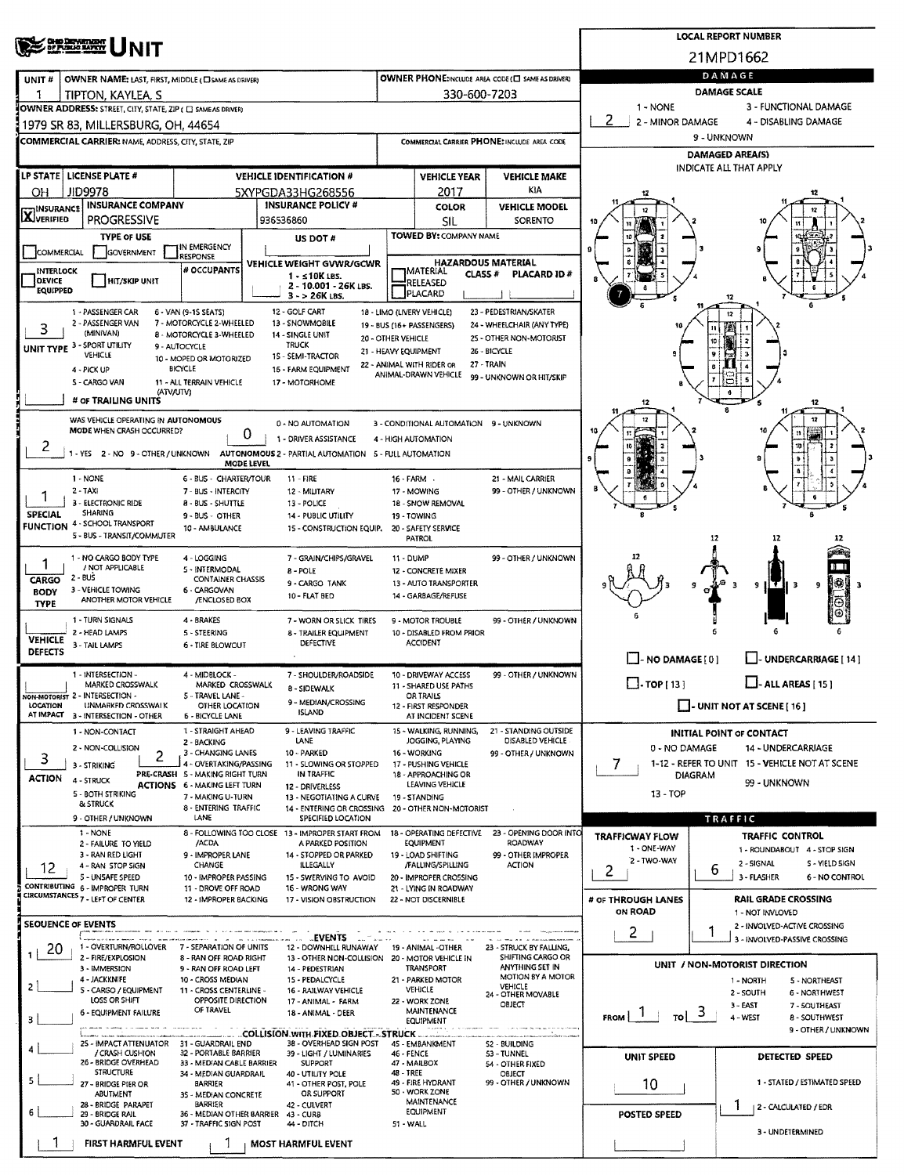|                                                                                                                        |                                                                                                                                                     |                                                                                                       | <b>LOCAL REPORT NUMBER</b> |                                                                                |                                    |                                                                       |                                                      |                                                                 |                                   |                                                               |  |  |  |  |
|------------------------------------------------------------------------------------------------------------------------|-----------------------------------------------------------------------------------------------------------------------------------------------------|-------------------------------------------------------------------------------------------------------|----------------------------|--------------------------------------------------------------------------------|------------------------------------|-----------------------------------------------------------------------|------------------------------------------------------|-----------------------------------------------------------------|-----------------------------------|---------------------------------------------------------------|--|--|--|--|
| <b>CHIP DEPARTMENT</b><br><b>BY PUBLIC MATCH</b>                                                                       |                                                                                                                                                     |                                                                                                       |                            |                                                                                |                                    |                                                                       |                                                      | 21MPD1662                                                       |                                   |                                                               |  |  |  |  |
| <b>OWNER NAME: LAST, FIRST, MIDDLE (CI SAME AS DRIVER)</b><br>UNIT#                                                    |                                                                                                                                                     |                                                                                                       |                            |                                                                                |                                    |                                                                       | OWNER PHONE: NCLUDE AREA CODE (E) SAME AS DRIVERY    | DAMAGE                                                          |                                   |                                                               |  |  |  |  |
| 1                                                                                                                      | TIPTON, KAYLEA, S                                                                                                                                   |                                                                                                       |                            |                                                                                |                                    | 330-600-7203                                                          |                                                      | <b>DAMAGE SCALE</b>                                             |                                   |                                                               |  |  |  |  |
|                                                                                                                        | OWNER ADDRESS: STREET, CITY, STATE, ZIP ( C) SAME AS DRIVER)                                                                                        |                                                                                                       |                            |                                                                                |                                    |                                                                       |                                                      | 1 - NONE<br>2                                                   |                                   | 3 - FUNCTIONAL DAMAGE                                         |  |  |  |  |
| 1979 SR 83, MILLERSBURG, OH, 44654                                                                                     |                                                                                                                                                     |                                                                                                       |                            |                                                                                |                                    |                                                                       |                                                      | 2 - MINOR DAMAGE<br>4 - DISABLING DAMAGE<br>9 - UNKNOWN         |                                   |                                                               |  |  |  |  |
| <b>COMMERCIAL CARRIER:</b> NAME, ADDRESS, CITY, STATE, ZIP                                                             |                                                                                                                                                     |                                                                                                       |                            |                                                                                |                                    |                                                                       | COMMERCIAL CARRIER PHONE: INCLUDE AREA CODE          | <b>DAMAGED AREA(S)</b>                                          |                                   |                                                               |  |  |  |  |
|                                                                                                                        | LP STATE   LICENSE PLATE #                                                                                                                          |                                                                                                       |                            | <b>VEHICLE IDENTIFICATION #</b>                                                |                                    | <b>VEHICLE YEAR</b>                                                   | <b>VEHICLE MAKE</b>                                  |                                                                 | INDICATE ALL THAT APPLY           |                                                               |  |  |  |  |
| OН                                                                                                                     | <b>JID9978</b>                                                                                                                                      |                                                                                                       |                            | 5XYPGDA33HG268556                                                              |                                    | 2017                                                                  | KIA                                                  |                                                                 |                                   |                                                               |  |  |  |  |
|                                                                                                                        | <b>INSURANCE COMPANY</b><br><b>INSURANCE POLICY #</b><br><b>TINSURANCE</b>                                                                          |                                                                                                       |                            |                                                                                |                                    |                                                                       | <b>VEHICLE MODEL</b>                                 |                                                                 |                                   |                                                               |  |  |  |  |
| <b>X</b> VERIFIED                                                                                                      | <b>PROGRESSIVE</b>                                                                                                                                  | 936536860                                                                                             |                            |                                                                                |                                    |                                                                       | SORENTO                                              |                                                                 |                                   |                                                               |  |  |  |  |
|                                                                                                                        | <b>TYPE OF USE</b>                                                                                                                                  |                                                                                                       | US DOT #                   |                                                                                | TOWED BY: COMPANY NAME             |                                                                       |                                                      |                                                                 |                                   |                                                               |  |  |  |  |
| IN EMERGENCY<br>GOVERNMENT<br>COMMERCIAL<br><b>RESPONSE</b><br>VEHICLE WEIGHT GVWR/GCWR                                |                                                                                                                                                     |                                                                                                       |                            |                                                                                |                                    | <b>TMATERIAL</b>                                                      | <b>HAZARDOUS MATERIAL</b>                            |                                                                 |                                   |                                                               |  |  |  |  |
| <b>DEVICE</b>                                                                                                          | # OCCUPANTS<br>INTERLOCK<br>1 - ≤10K LBS.<br><b>HIT/SKIP UNIT</b><br>2 - 10.001 - 26K LBS.                                                          |                                                                                                       |                            |                                                                                |                                    |                                                                       | <b>CLASS#</b><br>PLACARD ID#                         |                                                                 |                                   |                                                               |  |  |  |  |
| <b>EQUIPPED</b>                                                                                                        |                                                                                                                                                     |                                                                                                       |                            |                                                                                |                                    | 12                                                                    |                                                      |                                                                 |                                   |                                                               |  |  |  |  |
|                                                                                                                        | 1 - PASSENGER CAR<br>2 - PASSENGER VAN                                                                                                              | 6 - VAN (9-15 SEATS)<br>7 - MOTORCYCLE 2-WHEELED                                                      |                            | 12 - GOLF CART<br>13 - SNOWMOBILE                                              |                                    | 18 - LIMO (LIVERY VEHICLE)<br>19 - BUS (16+ PASSENGERS)               | 23 - PEDESTRIAN/SKATER<br>24 - WHEELCHAIR (ANY TYPE) |                                                                 | 12                                |                                                               |  |  |  |  |
| 3                                                                                                                      | (MINIVAN)                                                                                                                                           | 8 - MOTORCYCLE 3-WHEELED                                                                              |                            | 14 - SINGLE UNIT                                                               | 20 - OTHER VEHICLE                 |                                                                       | 25 - OTHER NON-MOTORIST                              |                                                                 | 11<br>10                          |                                                               |  |  |  |  |
|                                                                                                                        | UNIT TYPE 3 - SPORT UTILITY<br>VEHICLE                                                                                                              | 9 - AUTOCYCLE<br>10 - MOPED OR MOTORIZED                                                              |                            | <b>TRUCK</b><br>15 - SEMI-TRACTOR                                              |                                    | 21 - HEAVY EQUIPMENT                                                  | 26 - BICYCLE                                         |                                                                 |                                   |                                                               |  |  |  |  |
|                                                                                                                        | 4 - PICK UP                                                                                                                                         | <b>BICYCLE</b>                                                                                        |                            | 16 - FARM EQUIPMENT                                                            |                                    | 22 - ANIMAL WITH RIDER OR<br>ANIMAL-DRAWN VEHICLE                     | 27 - TRAIN<br>99 - UNKNOWN OR HIT/SKIP               |                                                                 |                                   |                                                               |  |  |  |  |
|                                                                                                                        | S - CARGO VAN<br><b>(ATV/UTV)</b>                                                                                                                   | 11 - ALL TERRAIN VEHICLE                                                                              |                            | 17 - MOTORHOME                                                                 |                                    |                                                                       |                                                      |                                                                 |                                   |                                                               |  |  |  |  |
|                                                                                                                        | # OF TRAILING UNITS                                                                                                                                 |                                                                                                       |                            |                                                                                |                                    |                                                                       |                                                      | 12                                                              |                                   | 12                                                            |  |  |  |  |
|                                                                                                                        | WAS VEHICLE OPERATING IN AUTONOMOUS<br>MODE WHEN CRASH OCCURRED?                                                                                    |                                                                                                       | 0                          | 0 - NO AUTOMATION                                                              |                                    | 3 - CONDITIONAL AUTOMATION 9 - UNKNOWN                                |                                                      |                                                                 |                                   |                                                               |  |  |  |  |
| 2                                                                                                                      | 1 - YES 2 - NO 9 - OTHER / UNKNOWN                                                                                                                  |                                                                                                       |                            | 1 - DRIVER ASSISTANCE<br>AUTONOMOUS 2 - PARTIAL AUTOMATION 5 - FULL AUTOMATION |                                    | 4 - HIGH AUTOMATION                                                   |                                                      |                                                                 |                                   |                                                               |  |  |  |  |
|                                                                                                                        |                                                                                                                                                     |                                                                                                       | MODE LEVEL                 |                                                                                |                                    |                                                                       |                                                      |                                                                 |                                   |                                                               |  |  |  |  |
|                                                                                                                        | 1 - NONE<br>2 - TAXI                                                                                                                                | 6 - BUS - CHARTER/TOUR<br>7 - BUS - INTERCITY                                                         |                            | 11 - FIRE<br>12 - MILITARY                                                     | 16 - FARM                          | 17 - MOWING                                                           | 21 - MAIL CARRIER<br>99 - OTHER / UNKNOWN            |                                                                 |                                   |                                                               |  |  |  |  |
|                                                                                                                        | 3 - ELECTRONIC RIDE                                                                                                                                 | 8 - BUS - SHUTTLE                                                                                     |                            | 13 - POLICE                                                                    |                                    | 18 - SNOW REMOVAL                                                     |                                                      |                                                                 |                                   |                                                               |  |  |  |  |
| <b>SPECIAL</b>                                                                                                         | SHARING<br><b>FUNCTION 4 - SCHOOL TRANSPORT</b>                                                                                                     | 9 - BUS - OTHER                                                                                       |                            | 14 - PUBLIC UTILITY                                                            |                                    | 19 - TOWING                                                           |                                                      |                                                                 |                                   |                                                               |  |  |  |  |
| 10 - AMBULANCE<br>15 - CONSTRUCTION EQUIP.<br>20 - SAFETY SERVICE<br>5 - BUS - TRANSIT/COMMUTER<br><b>PATROL</b><br>12 |                                                                                                                                                     |                                                                                                       |                            |                                                                                |                                    |                                                                       |                                                      |                                                                 |                                   |                                                               |  |  |  |  |
| 1 - NO CARGO BODY TYPE<br>4 - LOGGING<br>7 - GRAIN/CHIPS/GRAVEL<br>11 - DUMP<br>ı                                      |                                                                                                                                                     |                                                                                                       |                            |                                                                                |                                    |                                                                       | 99 - OTHER / UNKNOWN                                 |                                                                 |                                   |                                                               |  |  |  |  |
| CARGO                                                                                                                  | / NOT APPLICABLE<br>$2 - BUS$                                                                                                                       | 5 - INTERMODAL<br><b>CONTAINER CHASSIS</b>                                                            |                            | 8 - POLE<br>9 - CARGO TANK                                                     |                                    | 12 - CONCRETE MIXER<br>13 - AUTO TRANSPORTER                          |                                                      |                                                                 |                                   | X.                                                            |  |  |  |  |
| <b>BODY</b>                                                                                                            | 3 - VEHICLE TOWING<br>ANOTHER MOTOR VEHICLE                                                                                                         | 6 - CARGOVAN<br>/ENCLOSED BOX                                                                         |                            | 10 - FLAT BED                                                                  |                                    | 14 - GARBAGE/REFUSE                                                   |                                                      |                                                                 | 9                                 | - 3<br>9                                                      |  |  |  |  |
| <b>TYPE</b>                                                                                                            | 1 - TURN SIGNALS                                                                                                                                    | 4 - BRAKES                                                                                            |                            | 7 - WORN OR SLICK TIRES                                                        |                                    | 9 - MOTOR TROUBLE                                                     | 99 - OTHER / UNKNOWN                                 |                                                                 |                                   |                                                               |  |  |  |  |
| <b>VEHICLE</b>                                                                                                         | 2 - HEAD LAMPS                                                                                                                                      | 5 - STEERING                                                                                          |                            | 8 - TRAILER EQUIPMENT                                                          |                                    | 10 - DISABLED FROM PRIOR                                              |                                                      |                                                                 |                                   |                                                               |  |  |  |  |
| <b>DEFECTS</b>                                                                                                         | 3 - TAIL LAMPS                                                                                                                                      | 6 - TIRE BLOWOUT                                                                                      |                            | <b>DEFECTIVE</b>                                                               |                                    | <b>ACCIDENT</b>                                                       |                                                      | $\Box$ - NO DAMAGE [ 0 ]                                        |                                   | - UNDERCARRIAGE [ 14 ]                                        |  |  |  |  |
|                                                                                                                        | 1 - INTERSECTION -                                                                                                                                  | 4 - MIDBLOCK -                                                                                        |                            | 7 - SHOULDER/ROADSIDE                                                          |                                    | 10 - DRIVEWAY ACCESS                                                  | 99 - OTHER / UNKNOWN                                 |                                                                 |                                   |                                                               |  |  |  |  |
|                                                                                                                        | MARKED CROSSWALK<br>NON-MOTORIST 2 - INTERSECTION -                                                                                                 | MARKED CROSSWALK<br>5 - TRAVEL LANE -                                                                 |                            | 8 - SIDEWALK                                                                   | 11 - SHARED USE PATHS<br>OR TRAILS |                                                                       |                                                      | $\Box$ . TOP [ 13 ]                                             |                                   | $\Box$ - ALL AREAS [ 15 ]                                     |  |  |  |  |
| LOCATION                                                                                                               | UNMARKED CROSSWALK<br>AT IMPACT 3 - INTERSECTION - OTHER                                                                                            | OTHER LOCATION                                                                                        |                            | 9 - MEDIAN/CROSSING<br><b>ISLAND</b>                                           |                                    | 12 - FIRST RESPONDER<br>AT INCIDENT SCENE                             |                                                      |                                                                 | $\Box$ - UNIT NOT AT SCENE [ 16 ] |                                                               |  |  |  |  |
|                                                                                                                        | 1 - NON-CONTACT                                                                                                                                     | <b>6 - BICYCLE LANE</b><br>1 - STRAIGHT AHEAD                                                         |                            | 9 - LEAVING TRAFFIC                                                            | 21 - STANDING OUTSIDE              |                                                                       | <b>INITIAL POINT OF CONTACT</b>                      |                                                                 |                                   |                                                               |  |  |  |  |
|                                                                                                                        | 2 - NON-COLLISION                                                                                                                                   | 2 - BACKING<br>3 - CHANGING LANES                                                                     |                            | LANE<br>10 - PARKED                                                            | DISABLED VEHICLE                   | 0 - NO DAMAGE<br><b>14 - UNDERCARRIAGE</b>                            |                                                      |                                                                 |                                   |                                                               |  |  |  |  |
| 3                                                                                                                      | 2<br>3 - STRIKING                                                                                                                                   | 4 - OVERTAKING/PASSING                                                                                |                            | 11 - SLOWING OR STOPPED<br>IN TRAFFIC                                          | 99 - OTHER / UNKNOWN               | 1-12 - REFER TO UNIT 15 - VEHICLE NOT AT SCENE<br>7<br><b>DIAGRAM</b> |                                                      |                                                                 |                                   |                                                               |  |  |  |  |
| <b>ACTION</b>                                                                                                          | 4 - STRUCK                                                                                                                                          | PRE-CRASH 5 - MAKING RIGHT TURN<br><b>ACTIONS 6 - MAKING LEFT TURN</b>                                |                            |                                                                                |                                    | 99 - UNKNOWN                                                          |                                                      |                                                                 |                                   |                                                               |  |  |  |  |
|                                                                                                                        | 5 - BOTH STRIKING<br>& STRUCK                                                                                                                       | 7 - MAKING U-TURN<br>8 - ENTERING TRAFFIC                                                             |                            | 13 - NEGOTIATING A CURVE<br>14 - ENTERING OR CROSSING                          |                                    | 19 - STANDING<br>20 - OTHER NON-MOTORIST                              |                                                      | $13 - TOP$                                                      |                                   |                                                               |  |  |  |  |
|                                                                                                                        | 9 - OTHER / UNKNOWN                                                                                                                                 | LANE                                                                                                  |                            | SPECIFIED LOCATION                                                             |                                    |                                                                       |                                                      |                                                                 | TRAFFIC                           |                                                               |  |  |  |  |
|                                                                                                                        | $1 - NONE$<br>2 - FAILURE TO YIELD                                                                                                                  | /ACDA                                                                                                 |                            | 8 - FOLLOWING TOO CLOSE 13 - IMPROPER START FROM<br>A PARKED POSITION          |                                    | 18 - OPERATING DEFECTIVE<br>EQUIPMENT                                 | 23 - OPENING DOOR INTO<br>ROADWAY                    | <b>TRAFFICWAY FLOW</b>                                          | <b>TRAFFIC CONTROL</b>            |                                                               |  |  |  |  |
|                                                                                                                        | 3 - RAN RED LIGHT<br>4 - RAN STOP SIGN                                                                                                              | 9 - IMPROPER LANE<br>CHANGE                                                                           |                            | 14 - STOPPED OR PARKED<br>ILLEGALLY                                            |                                    | 19 - LOAD SHIFTING<br>/FALLING/SPILLING                               | 99 - OTHER IMPROPER<br><b>ACTION</b>                 | 1 - ONE-WAY<br>2 - TWO-WAY                                      | 2 - SIGNAL                        | 1 - ROUNDABOUT 4 - STOP SIGN<br>S - YIELD SIGN                |  |  |  |  |
| 12                                                                                                                     | 5 - UNSAFE SPEED                                                                                                                                    | 10 - IMPROPER PASSING                                                                                 |                            | 15 - SWERVING TO AVOID                                                         |                                    | 20 - IMPROPER CROSSING                                                |                                                      | 2                                                               | 6<br>3 - FLASHER                  | 6 - NO CONTROL                                                |  |  |  |  |
|                                                                                                                        | CONTRIBUTING 6 - IMPROPER TURN<br>CIRCUMSTANCES <sub>7</sub> - LEFT OF CENTER                                                                       | 11 - DROVE OFF ROAD<br>12 - IMPROPER BACKING                                                          |                            | 16 - WRONG WAY<br>17 - VISION OBSTRUCTION                                      |                                    | 21 - LYING IN ROADWAY<br>22 - NOT DISCERNIBLE                         |                                                      | # OF THROUGH LANES                                              |                                   | <b>RAIL GRADE CROSSING</b>                                    |  |  |  |  |
|                                                                                                                        |                                                                                                                                                     |                                                                                                       |                            |                                                                                |                                    |                                                                       |                                                      | ON ROAD                                                         | 1 - NOT INVLOVED                  |                                                               |  |  |  |  |
|                                                                                                                        | <b>SEOUENCE OF EVENTS</b>                                                                                                                           |                                                                                                       |                            | <b>EVENTS</b>                                                                  |                                    |                                                                       |                                                      | 2.                                                              | 1                                 | 2 - INVOLVED-ACTIVE CROSSING<br>3 - INVOLVED-PASSIVE CROSSING |  |  |  |  |
| 20<br>1                                                                                                                | 1 - OVERTURN/ROLLOVER<br>2 - FIRE/EXPLOSION                                                                                                         | 7 - SEPARATION OF UNITS<br>8 - RAN OFF ROAD RIGHT                                                     |                            | 12 - DOWNHILL RUNAWAY<br>13 - OTHER NON-COLLISION 20 - MOTOR VEHICLE IN        |                                    | 19 - ANIMAL -OTHER                                                    | 23 - STRUCK BY FALLING,<br>SHIFTING CARGO OR         |                                                                 |                                   |                                                               |  |  |  |  |
|                                                                                                                        | 3 - IMMERSION<br>9 - RAN OFF ROAD LEFT<br>14 - PEDESTRIAN                                                                                           |                                                                                                       |                            |                                                                                |                                    | TRANSPORT                                                             | ANYTHING SET IN<br>MOTION BY A MOTOR                 |                                                                 | UNIT / NON-MOTORIST DIRECTION     |                                                               |  |  |  |  |
| $\mathbf{2}$                                                                                                           | 4 - JACKKNIFE<br>5 - CARGO / EQUIPMENT                                                                                                              | 10 - CROSS MEDIAN<br>11 - CROSS CENTERLINE -                                                          |                            | 15 - PEDALCYCLE<br>16 - RAILWAY VEHICLE                                        |                                    | 21 - PARKED MOTOR<br><b>VEHICLE</b>                                   | <b>VEHICLE</b><br>24 - OTHER MOVABLE                 | 1 - NORTH<br>5 - NORTHEAST<br>2 - SOUTH<br><b>6 - NORTHWEST</b> |                                   |                                                               |  |  |  |  |
|                                                                                                                        | LOSS OR SHIFT<br>6 - EQUIPMENT FAILURE                                                                                                              | OPPOSITE DIRECTION<br>OF TRAVEL                                                                       |                            | 17 - ANIMAL - FARM<br>18 - ANIMAL - DEER                                       |                                    | 22 - WORK ZONE<br>MAINTENANCE                                         | OBJECT                                               | $\frac{1}{10}$ 3                                                | 3 - EAST                          | 7 - SOUTHEAST                                                 |  |  |  |  |
| 3                                                                                                                      |                                                                                                                                                     |                                                                                                       |                            | COLLISION.WITH.FIXED.OBJECT.-STRUCK                                            |                                    | EQUIPMENT                                                             |                                                      | <b>FROM</b>                                                     | 4 - WEST                          | 8 - SOUTHWEST<br>9 - OTHER / UNKNOWN                          |  |  |  |  |
| 4                                                                                                                      | 25 - IMPACT ATTENUATOR                                                                                                                              | 31 - GUARDRAIL END                                                                                    |                            | 38 - OVERHEAD SIGN POST                                                        | 46 - FENCE                         | 45 - EMBANKMENT                                                       | <b>S2 - BUILDING</b>                                 |                                                                 |                                   |                                                               |  |  |  |  |
|                                                                                                                        | / CRASH CUSHION<br>32 - PORTABLE BARRIER<br>39 - LIGHT / LUMINARIES<br>26 - BRIDGE OVERHEAD<br>33 - MEDIAN CABLE BARRIER<br>SUPPORT                 |                                                                                                       |                            |                                                                                |                                    | 47 - MAILBOX                                                          | 53 - TUNNEL<br>54 - OTHER FIXED                      | UNIT SPEED                                                      |                                   | DETECTED SPEED                                                |  |  |  |  |
| 5.                                                                                                                     | <b>STRUCTURE</b><br>34 - MEDIAN GUARDRAIL<br>40 - UTILITY POLE<br>27 - BRIDGE PIER OR<br>BARRIER<br>41 - OTHER POST, POLE                           |                                                                                                       |                            |                                                                                |                                    | 48 - TREE<br>49 - FIRE HYDRANT                                        | OBJECT<br>99 - OTHER / UNKNOWN                       | 10                                                              |                                   | 1 - STATED / ESTIMATED SPEED                                  |  |  |  |  |
|                                                                                                                        | ABUTMENT<br>28 - BRIDGE PARAPET                                                                                                                     | 50 - WORK ZONE<br>OR SUPPORT<br>35 - MEDIAN CONCRETE<br>MAINTENANCE<br><b>BARRIER</b><br>42 - CULVERT |                            |                                                                                |                                    |                                                                       |                                                      |                                                                 |                                   | 2 - CALCULATED / EDR                                          |  |  |  |  |
| 6                                                                                                                      | EQUIPMENT<br>36 - MEDIAN OTHER BARRIER<br>29 - BRIDGE RAIL<br>43 - CURB<br>30 - GUARDRAIL FACE<br>37 - TRAFFIC SIGN POST<br>44 - DITCH<br>51 - WALL |                                                                                                       |                            |                                                                                |                                    |                                                                       |                                                      | <b>POSTED SPEED</b>                                             |                                   |                                                               |  |  |  |  |
| <b>FIRST HARMFUL EVENT</b><br><b>MOST HARMFUL EVENT</b>                                                                |                                                                                                                                                     |                                                                                                       |                            |                                                                                |                                    |                                                                       |                                                      |                                                                 |                                   | 3 - UNDETERMINED                                              |  |  |  |  |
|                                                                                                                        |                                                                                                                                                     |                                                                                                       |                            |                                                                                |                                    |                                                                       |                                                      |                                                                 |                                   |                                                               |  |  |  |  |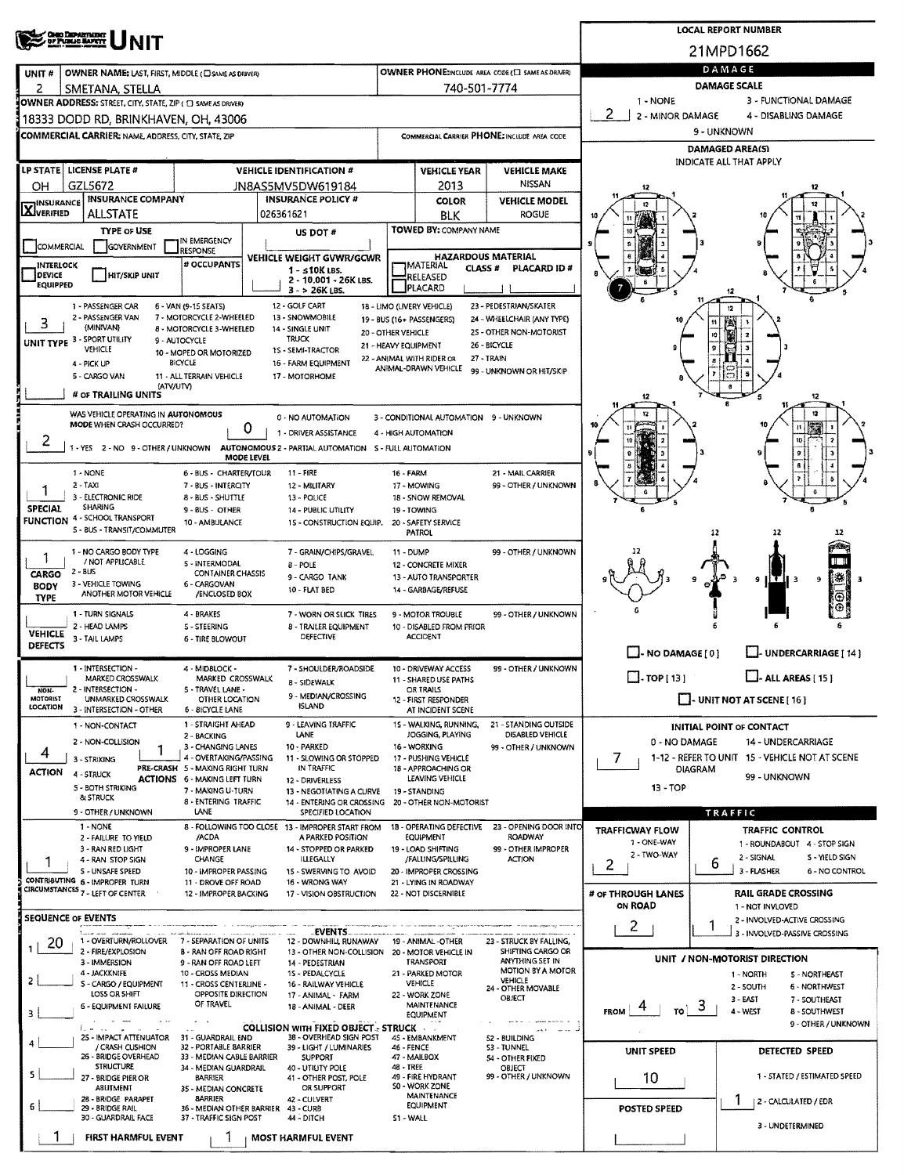| <b>CHIO DEPARTMENT</b><br>OF PUBLIC BARRYT                                                                                                                                                                                                         | <b>LOCAL REPORT NUMBER</b>                                                                                       |                                                               |                                                   |                                                            |                                                         |  |  |  |  |  |  |
|----------------------------------------------------------------------------------------------------------------------------------------------------------------------------------------------------------------------------------------------------|------------------------------------------------------------------------------------------------------------------|---------------------------------------------------------------|---------------------------------------------------|------------------------------------------------------------|---------------------------------------------------------|--|--|--|--|--|--|
|                                                                                                                                                                                                                                                    |                                                                                                                  | 21MPD1662                                                     |                                                   |                                                            |                                                         |  |  |  |  |  |  |
| UNIT#<br>OWNER NAME: LAST, FIRST, MIDDLE (C) SAME AS DRIVERY                                                                                                                                                                                       |                                                                                                                  |                                                               | OWNER PHONE:INCLUDE AREA CODE (E) SAME AS DRIVER) |                                                            | DAMAGE                                                  |  |  |  |  |  |  |
| 2<br>SMETANA, STELLA                                                                                                                                                                                                                               |                                                                                                                  | 740-501-7774                                                  |                                                   | <b>DAMAGE SCALE</b>                                        |                                                         |  |  |  |  |  |  |
| OWNER ADDRESS: STREET, CITY, STATE, ZIP ( C) SAME AS DRIVERY                                                                                                                                                                                       |                                                                                                                  |                                                               |                                                   | 3 - FUNCTIONAL DAMAGE<br>1 - NONE<br>2<br>2 - MINOR DAMAGE |                                                         |  |  |  |  |  |  |
| 18333 DODD RD. BRINKHAVEN. OH. 43006                                                                                                                                                                                                               |                                                                                                                  |                                                               |                                                   | 4 - DISABLING DAMAGE<br>9 - UNKNOWN                        |                                                         |  |  |  |  |  |  |
| COMMERCIAL CARRIER: NAME, ADDRESS, CITY, STATE, ZIP                                                                                                                                                                                                |                                                                                                                  |                                                               | COMMERCIAL CARRIER PHONE: INCLUDE AREA CODE       |                                                            | <b>DAMAGED AREA(S)</b>                                  |  |  |  |  |  |  |
| LP STATE LICENSE PLATE #<br><b>VEHICLE IDENTIFICATION #</b>                                                                                                                                                                                        |                                                                                                                  |                                                               | <b>VEHICLE MAKE</b>                               | INDICATE ALL THAT APPLY                                    |                                                         |  |  |  |  |  |  |
| GZL5672<br>OН<br>JN8AS5MV5DW619184                                                                                                                                                                                                                 |                                                                                                                  | <b>VEHICLE YEAR</b><br>2013                                   | <b>NISSAN</b>                                     | 12                                                         |                                                         |  |  |  |  |  |  |
| INSURANCE COMPANY<br><b>INSURANCE POLICY #</b><br>INSURANCE                                                                                                                                                                                        |                                                                                                                  | <b>COLOR</b>                                                  | <b>VEHICLE MODEL</b>                              | 12                                                         |                                                         |  |  |  |  |  |  |
| <b>LAJVERIFIED</b><br>ALLSTATE<br>026361621                                                                                                                                                                                                        |                                                                                                                  | BLK                                                           | <b>ROGUE</b>                                      |                                                            |                                                         |  |  |  |  |  |  |
| <b>TYPE OF USE</b><br>US DOT #<br>IN EMERGENCY                                                                                                                                                                                                     |                                                                                                                  | TOWED BY: COMPANY NAME                                        |                                                   |                                                            |                                                         |  |  |  |  |  |  |
| <b>COMMERCIAL</b><br>GOVERNMENT<br><b>RESPONSE</b><br>VEHICLE WEIGHT GVWR/GCWR<br># OCCUPANTS                                                                                                                                                      |                                                                                                                  | <b>HAZARDOUS MATERIAL</b>                                     |                                                   |                                                            |                                                         |  |  |  |  |  |  |
| <b>INTERLOCK</b><br>1 - s10K LBS.<br><b>DEVICE</b><br>HIT/SKIP UNIT<br>2 - 10.001 - 26K LBS.                                                                                                                                                       |                                                                                                                  | MATERIAL<br><b>CLASS #</b><br>RELEASED                        | PLACARD ID#                                       |                                                            |                                                         |  |  |  |  |  |  |
| $3 - 26K$ LBS.                                                                                                                                                                                                                                     | <b>EQUIPPED</b><br>PLACARD                                                                                       |                                                               |                                                   |                                                            |                                                         |  |  |  |  |  |  |
| 1 - PASSENGER CAR<br>6 - VAN (9-15 SEATS)<br>12 - GOLF CART<br>18 - LIMO (LIVERY VEHICLE)<br>23 - PEDESTRIAN/SKATER<br>2 - PASSENGER VAN<br>7 - MOTORCYCLE 2-WHEELED<br>13 - SNOWMOBILE<br>24 - WHEELCHAIR (ANY TYPE)<br>19 - BUS (16+ PASSENGERS) |                                                                                                                  |                                                               |                                                   |                                                            |                                                         |  |  |  |  |  |  |
| 3<br>(MINIVAN)<br>8 - MOTORCYCLE 3-WHEELED<br>14 - SINGLE UNIT<br>TRUCK                                                                                                                                                                            | 20 - OTHER VEHICLE                                                                                               |                                                               | 2S - OTHER NON-MOTORIST                           |                                                            | Ÿ£.<br>10                                               |  |  |  |  |  |  |
| UNIT TYPE 3 - SPORT UTILITY<br>9 - AUTOCYCLE<br>VEHICLE<br>1S - SEMI-TRACTOR<br>10 - MOPED OR MOTORIZED                                                                                                                                            | 21 - HEAVY EQUIPMENT                                                                                             |                                                               | 26 - BICYCLE                                      |                                                            |                                                         |  |  |  |  |  |  |
| BICYCLE<br>16 - FARM EQUIPMENT<br>4 - PICK UP<br>5 - CARGO VAN<br>11 - ALL TERRAIN VEHICLE<br>17 - MOTORHOME                                                                                                                                       | 22 - ANIMAL WITH RIDER OR                                                                                        | ANIMAL-DRAWN VEHICLE                                          | 27 - TRAIN<br>99 - UNKNOWN OR HIT/SKIP            |                                                            | ಐ                                                       |  |  |  |  |  |  |
| (ATV/UTV)<br># OF TRAILING UNITS                                                                                                                                                                                                                   |                                                                                                                  |                                                               |                                                   |                                                            |                                                         |  |  |  |  |  |  |
| WAS VEHICLE OPERATING IN AUTONOMOUS                                                                                                                                                                                                                |                                                                                                                  |                                                               |                                                   | 12                                                         | 12                                                      |  |  |  |  |  |  |
| 0 - NO AUTOMATION<br>MODE WHEN CRASH OCCURRED?<br>0<br>1 - DRIVER ASSISTANCE                                                                                                                                                                       |                                                                                                                  | 3 - CONDITIONAL AUTOMATION 9 - UNKNOWN<br>4 - HIGH AUTOMATION |                                                   |                                                            |                                                         |  |  |  |  |  |  |
| 2<br>1 - YES 2 - NO 9 - OTHER / UNKNOWN AUTONOMOUS 2 - PARTIAL AUTOMATION S - FULL AUTOMATION                                                                                                                                                      |                                                                                                                  |                                                               |                                                   |                                                            | 10                                                      |  |  |  |  |  |  |
| MODE LEVEL                                                                                                                                                                                                                                         |                                                                                                                  |                                                               |                                                   |                                                            |                                                         |  |  |  |  |  |  |
| 1 - NONE<br>6 - BUS - CHARTER/TOUR<br>$11 - FIRE$<br>2 - TAXI<br>7 - BUS - INTERCITY<br>12 - MILITARY                                                                                                                                              | 16 - FARM                                                                                                        | 17 - MOWING                                                   | 21 - MAIL CARRIER<br>99 - OTHER / UNKNOWN         |                                                            |                                                         |  |  |  |  |  |  |
| 1<br>3 - ELECTRONIC RIDE<br>8 - BUS - SHUTTLE<br>13 - POLICE                                                                                                                                                                                       |                                                                                                                  | 18 - SNOW REMOVAL                                             |                                                   |                                                            |                                                         |  |  |  |  |  |  |
| SHARING<br><b>SPECIAL</b><br>9 - BUS - OTHER<br><b>14 - PUBLIC UTILITY</b><br>19 - TOWING<br><b>FUNCTION 4 - SCHOOL TRANSPORT</b><br>10 - AMBULANCE<br>15 - CONSTRUCTION EQUIP.<br>20 - SAFETY SERVICE                                             |                                                                                                                  |                                                               |                                                   |                                                            |                                                         |  |  |  |  |  |  |
| 5 - BUS - TRANSIT/COMMUTER                                                                                                                                                                                                                         |                                                                                                                  | <b>PATROL</b>                                                 |                                                   |                                                            | 12                                                      |  |  |  |  |  |  |
| 1 - NO CARGO BODY TYPE<br>4 - LOGGING<br>7 - GRAIN/CHIPS/GRAVEL<br>1<br>/ NOT APPLICABLE<br>S - INTERMODAL                                                                                                                                         | 11 - DUMP                                                                                                        |                                                               | 99 - OTHER / UNKNOWN                              |                                                            |                                                         |  |  |  |  |  |  |
| 8 - POLE<br>2 - BUS<br><b>CONTAINER CHASSIS</b><br>CARGO<br>9 - CARGO TANK                                                                                                                                                                         |                                                                                                                  | 12 - CONCRETE MIXER<br>13 - AUTO TRANSPORTER                  |                                                   |                                                            | \$.<br>9<br>9                                           |  |  |  |  |  |  |
| 3 - VEHICLE TOWING<br>6 - CARGOVAN<br><b>BODY</b><br><b>10 - FLAT BED</b><br>ANOTHER MOTOR VEHICLE<br>/ENCLOSED BOX<br><b>TYPE</b>                                                                                                                 |                                                                                                                  | 14 - GARBAGE/REFUSE                                           |                                                   |                                                            |                                                         |  |  |  |  |  |  |
| 1 - TURN SIGNALS<br>4 - BRAKES<br>7 - WORN OR SLICK TIRES                                                                                                                                                                                          |                                                                                                                  | 9 - MOTOR TROUBLE                                             | 99 - OTHER / UNKNOWN                              |                                                            |                                                         |  |  |  |  |  |  |
| 2 - HEAD LAMPS<br><b>S-STEERING</b><br><b>8 - TRAILER EQUIPMENT</b><br><b>VEHICLE</b><br>DEFECTIVE<br>3 - TAIL LAMPS<br><b>6 - TIRE BLOWOUT</b>                                                                                                    |                                                                                                                  | 10 - DISABLED FROM PRIOR<br><b>ACCIDENT</b>                   |                                                   |                                                            |                                                         |  |  |  |  |  |  |
| <b>DEFECTS</b>                                                                                                                                                                                                                                     |                                                                                                                  | $\Box$ - NO DAMAGE [ 0 ]                                      | UNDERCARRIAGE [14]                                |                                                            |                                                         |  |  |  |  |  |  |
| 1 - INTERSECTION -<br>7 - SHOULDER/ROADSIDE<br>4 - MIDBLOCK -<br>MARKED CROSSWALK<br>MARKED CROSSWALK                                                                                                                                              |                                                                                                                  | 10 - DRIVEWAY ACCESS<br>11 - SHARED USE PATHS                 | 99 - OTHER / UNKNOWN                              | $\Box$ -TOP [13]                                           | $\Box$ - ALL AREAS [ 15 ]                               |  |  |  |  |  |  |
| <b>B - SIDEWALK</b><br>2 - INTERSECTION -<br>5 TRAVEL LANE -<br>NON-<br>9 - MEDIAN/CROSSING<br><b>MOTORIST</b><br>UNMARKED CROSSWALK                                                                                                               |                                                                                                                  | OR TRAILS                                                     |                                                   |                                                            |                                                         |  |  |  |  |  |  |
| OTHER LOCATION<br>LOCATION<br><b>ISLAND</b><br>3 - INTERSECTION - OTHER<br>6 - BICYCLE LANE                                                                                                                                                        |                                                                                                                  | 12 - FIRST RESPONDER<br>AT INCIDENT SCENE                     |                                                   |                                                            | $\Box$ UNIT NOT AT SCENE [16]                           |  |  |  |  |  |  |
| 1 - STRAIGHT AHEAD<br>9 - LEAVING TRAFFIC<br>1 - NON-CONTACT<br>LANE<br>2 - BACKING                                                                                                                                                                |                                                                                                                  | 15 - WALKING, RUNNING,<br>JOGGING, PLAYING                    | 21 - STANDING OUTSIDE<br>DISABLED VEHICLE         |                                                            | INITIAL POINT OF CONTACT                                |  |  |  |  |  |  |
| 2 - NON-COLLISION<br>3 - CHANGING LANES<br>10 - PARKED<br>1<br>4                                                                                                                                                                                   | 16 - WORKING<br>99 - OTHER / UNKNOWN                                                                             |                                                               |                                                   |                                                            |                                                         |  |  |  |  |  |  |
| PRE-CRASH 5 - MAKING RIGHT TURN<br>IN TRAFFIC<br><b>ACTION</b>                                                                                                                                                                                     | 4 - OVERTAKING/PASSING<br>11 - SLOWING OR STOPPED<br>17 - PUSHING VEHICLE<br>3 - STRIKING<br>18 - APPROACHING OR |                                                               |                                                   |                                                            |                                                         |  |  |  |  |  |  |
| <b>ACTIONS 6 - MAKING LEFT TURN</b><br>12 - DRIVERLESS<br>5 - BOTH STRIKING<br>7 - MAKING U-TURN<br>13 - NEGOTIATING A CURVE                                                                                                                       | 4 - STRUCK<br>LEAVING VEHICLE<br>19 - STANDING                                                                   |                                                               |                                                   |                                                            |                                                         |  |  |  |  |  |  |
| & STRUCK<br>8 - ENTERING TRAFFIC<br>14 - ENTERING OR CROSSING<br>9 - OTHER / UNKNOWN<br>LANE<br>SPECIFIED LOCATION                                                                                                                                 |                                                                                                                  | 20 - OTHER NON-MOTORIST                                       |                                                   | TRAFFIC                                                    |                                                         |  |  |  |  |  |  |
| 1 - NONE<br>8 - FOLLOWING TOO CLOSE 13 - IMPROPER START FROM                                                                                                                                                                                       |                                                                                                                  | 18 - OPERATING DEFECTIVE                                      | 23 - OPENING DOOR INTO                            | <b>TRAFFICWAY FLOW</b><br><b>TRAFFIC CONTROL</b>           |                                                         |  |  |  |  |  |  |
| /ACDA<br>A PARKED POSITION<br>2 - FAILURE TO YIELD<br>3 - RAN RED LIGHT<br>9 - IMPROPER LANE<br>14 - STOPPED OR PARKED                                                                                                                             |                                                                                                                  | <b>EQUIPMENT</b><br>19 - LOAD SHIFTING                        | ROADWAY<br>99 - OTHER IMPROPER                    | 1 - ONE-WAY                                                | 1 - ROUNDABOUT 4 - STOP SIGN                            |  |  |  |  |  |  |
| CHANGE<br><b>ILLEGALLY</b><br>4 - RAN STOP SIGN                                                                                                                                                                                                    |                                                                                                                  | /FALLING/SPILLING                                             | <b>ACTION</b>                                     | 2 - TWO-WAY<br>2                                           | 2 - SIGNAL<br>S - YIELD SIGN<br>6                       |  |  |  |  |  |  |
| S - UNSAFE SPEED<br>10 - IMPROPER PASSING<br>15 - SWERVING TO AVOID<br>CONTRIBUTING 6 - IMPROPER TURN<br>11 - DROVE OFF ROAD<br>16 - WRONG WAY                                                                                                     |                                                                                                                  | 20 - IMPROPER CROSSING<br>21 - LYING IN ROADWAY               |                                                   |                                                            | 3 - FLASHER<br>6 - NO CONTROL                           |  |  |  |  |  |  |
| CIRCUMSTANCES 7 - LEFT OF CENTER<br>12 - IMPROPER BACKING<br>17 - VISION OBSTRUCTION                                                                                                                                                               |                                                                                                                  | 22 - NOT DISCERNIBLE                                          |                                                   | # OF THROUGH LANES<br>ON ROAD                              | <b>RAIL GRADE CROSSING</b><br>1 - NOT INVLOVED          |  |  |  |  |  |  |
| <b>SEQUENCE OF EVENTS</b>                                                                                                                                                                                                                          |                                                                                                                  |                                                               |                                                   | $\mathbf{2}$                                               | 2 - INVOLVED-ACTIVE CROSSING<br>1                       |  |  |  |  |  |  |
| EVENTS<br>1 - OVERTURN/ROLLOVER 7 - SEPARATION OF UNITS<br>12 - DOWNHILL RUNAWAY<br>20                                                                                                                                                             |                                                                                                                  | 19 - ANIMAL -OTHER                                            | 23 - STRUCK BY FALLING,                           |                                                            | 3 - INVOLVED-PASSIVE CROSSING                           |  |  |  |  |  |  |
| 2 - FIRE/EXPLOSION<br><b>8 - RAN OFF ROAD RIGHT</b><br>13 - OTHER NON-COLLISION 20 - MOTOR VEHICLE IN<br>3 - IMMERSION<br>9 - RAN OFF ROAD LEFT<br>14 - PEDESTRIAN                                                                                 |                                                                                                                  | <b>TRANSPORT</b>                                              | SHIFTING CARGO OR<br>ANYTHING SET IN              |                                                            | UNIT / NON-MOTORIST DIRECTION                           |  |  |  |  |  |  |
| 4 - JACKKNIFE<br>10 - CROSS MEDIAN<br>15 - PEDALCYCLE<br>2<br>S - CARGO / EQUIPMENT<br>11 - CROSS CENTERLINE -<br>16 - RAILWAY VEHICLE                                                                                                             |                                                                                                                  | 21 - PARKED MOTOR<br>VEHICLE                                  | MOTION BY A MOTOR<br>VEHICLE                      | 1 - NORTH<br><b>S-NORTHEAST</b>                            |                                                         |  |  |  |  |  |  |
| LOSS OR SHIFT<br>OPPOSITE DIRECTION<br>17 - ANIMAL - FARM<br>OF TRAVEL                                                                                                                                                                             |                                                                                                                  | 22 - WORK ZONE                                                | 24 - OTHER MOVABLE<br>OBJECT                      |                                                            | 2 - SOUTH<br>6 - NORTHWEST<br>3 - EAST<br>7 - SOUTHEAST |  |  |  |  |  |  |
| 6 - EQUIPMENT FAILURE<br>18 - ANIMAL - DEER<br>з                                                                                                                                                                                                   |                                                                                                                  | <b>MAINTENANCE</b><br>EQUIPMENT                               |                                                   | <b>FROM</b>                                                | -3<br>4 - WEST<br>8 - SOUTHWEST                         |  |  |  |  |  |  |
| <b>COLLISION WITH FIXED OBJECT - STRUCK 4</b><br>المناسب المعالمة<br>38 - OVERHEAD SIGN POST<br>25 - IMPACT ATTENUATOR<br>31 - GUARDRAIL END                                                                                                       |                                                                                                                  | 45 - EMBANKMENT                                               | 52 - BUILDING                                     |                                                            | 9 - OTHER / UNKNOWN                                     |  |  |  |  |  |  |
| / CRASH CUSHION<br>32 - PORTABLE BARRIER<br>39 - LIGHT / LUMINARIES<br>26 - BRIDGE OVERHEAD<br>33 - MEDIAN CABLE BARRIER<br><b>SUPPORT</b>                                                                                                         | 46 - FENCE                                                                                                       | 47 - MAILBOX                                                  | 53 - TUNNEL<br>54 - OTHER FIXED                   | UNIT SPEED                                                 | DETECTED SPEED                                          |  |  |  |  |  |  |
| <b>STRUCTURE</b><br>34 - MEDIAN GUARDRAIL<br>40 - UTIUTY POLE<br>5<br>41 - OTHER POST, POLE<br>27 - BRIDGE PIER OR<br><b>BARRIER</b>                                                                                                               | 48 - TREE                                                                                                        | 49 - FIRE HYDRANT                                             | OBJECT<br>99 - OTHER / UNKNOWN                    | 10                                                         | 1 - STATED / ESTIMATED SPEED                            |  |  |  |  |  |  |
| OR SUPPORT<br>ABUTMENT<br>35 - MEDIAN CONCRETE<br>28 - BRIDGE PARAPET<br><b>BARRIER</b>                                                                                                                                                            |                                                                                                                  | 50 - WORK ZONE<br><b>MAINTENANCE</b>                          |                                                   |                                                            |                                                         |  |  |  |  |  |  |
| 42 - CULVERT<br>6<br>29 - BRIDGE RAIL<br>36 - MEDIAN OTHER BARRIER<br>43 - CURB                                                                                                                                                                    | 51 - WALL                                                                                                        | <b>EQUIPMENT</b>                                              |                                                   | <b>POSTED SPEED</b>                                        | 2 - CALCULATED / EDR                                    |  |  |  |  |  |  |
| 30 - GUARDRAIL FACE<br>37 - TRAFFIC SIGN POST<br>44 - DITCH                                                                                                                                                                                        |                                                                                                                  |                                                               | 3 - UNDETERMINED                                  |                                                            |                                                         |  |  |  |  |  |  |
| <b>FIRST HARMFUL EVENT</b><br><b>MOST HARMFUL EVENT</b>                                                                                                                                                                                            |                                                                                                                  |                                                               |                                                   |                                                            |                                                         |  |  |  |  |  |  |